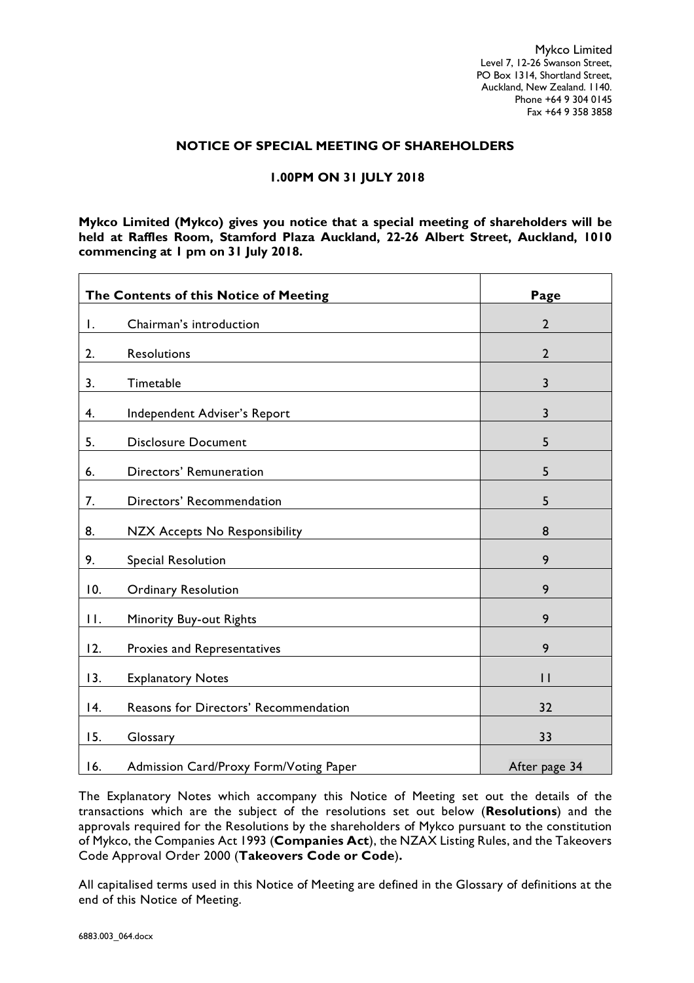Mykco Limited Level 7, 12-26 Swanson Street, PO Box 1314, Shortland Street, Auckland, New Zealand. 1140. Phone +64 9 304 0145 Fax +64 9 358 3858

### **NOTICE OF SPECIAL MEETING OF SHAREHOLDERS**

## **1.00PM ON 31 JULY 2018**

**Mykco Limited (Mykco) gives you notice that a special meeting of shareholders will be held at Raffles Room, Stamford Plaza Auckland, 22-26 Albert Street, Auckland, 1010 commencing at 1 pm on 31 July 2018.**

|                | The Contents of this Notice of Meeting | Page           |
|----------------|----------------------------------------|----------------|
| Ι.             | Chairman's introduction                | $\overline{2}$ |
| 2.             | <b>Resolutions</b>                     | $\overline{2}$ |
| 3.             | Timetable                              | $\overline{3}$ |
| 4.             | Independent Adviser's Report           | 3              |
| 5.             | <b>Disclosure Document</b>             | 5              |
| 6.             | Directors' Remuneration                | 5              |
| 7.             | Directors' Recommendation              | 5              |
| 8.             | <b>NZX Accepts No Responsibility</b>   | 8              |
| 9.             | <b>Special Resolution</b>              | 9              |
| 10.            | <b>Ordinary Resolution</b>             | 9              |
| $\mathbf{H}$ . | Minority Buy-out Rights                | 9              |
| 12.            | Proxies and Representatives            | 9              |
| 13.            | <b>Explanatory Notes</b>               | $\mathsf{L}$   |
| 4.             | Reasons for Directors' Recommendation  | 32             |
| 15.            | Glossary                               | 33             |
| 16.            | Admission Card/Proxy Form/Voting Paper | After page 34  |

The Explanatory Notes which accompany this Notice of Meeting set out the details of the transactions which are the subject of the resolutions set out below (**Resolutions**) and the approvals required for the Resolutions by the shareholders of Mykco pursuant to the constitution of Mykco, the Companies Act 1993 (**Companies Act**), the NZAX Listing Rules, and the Takeovers Code Approval Order 2000 (**Takeovers Code or Code**)**.**

All capitalised terms used in this Notice of Meeting are defined in the Glossary of definitions at the end of this Notice of Meeting.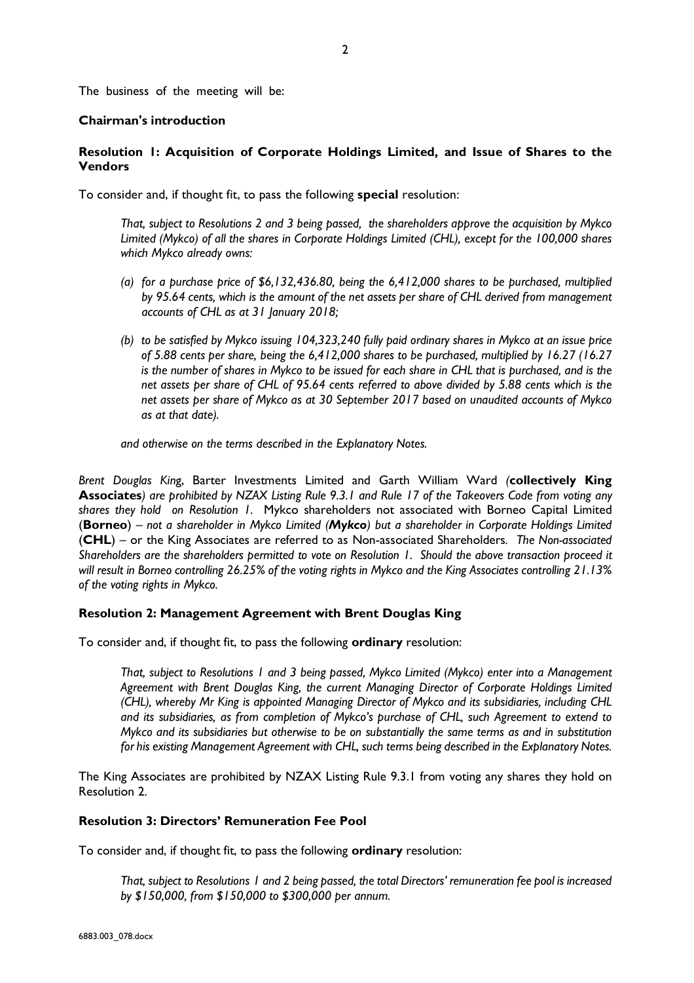The business of the meeting will be:

## **Chairman's introduction**

## **Resolution 1: Acquisition of Corporate Holdings Limited, and Issue of Shares to the Vendors**

To consider and, if thought fit, to pass the following **special** resolution:

*That, subject to Resolutions 2 and 3 being passed, the shareholders approve the acquisition by Mykco Limited (Mykco) of all the shares in Corporate Holdings Limited (CHL), except for the 100,000 shares which Mykco already owns:*

- *(a) for a purchase price of \$6,132,436.80, being the 6,412,000 shares to be purchased, multiplied by 95.64 cents, which is the amount of the net assets per share of CHL derived from management accounts of CHL as at 31 January 2018;*
- *(b) to be satisfied by Mykco issuing 104,323,240 fully paid ordinary shares in Mykco at an issue price of 5.88 cents per share, being the 6,412,000 shares to be purchased, multiplied by 16.27 (16.27 is the number of shares in Mykco to be issued for each share in CHL that is purchased, and is the net assets per share of CHL of 95.64 cents referred to above divided by 5.88 cents which is the net assets per share of Mykco as at 30 September 2017 based on unaudited accounts of Mykco as at that date).*

*and otherwise on the terms described in the Explanatory Notes.*

*Brent Douglas Kin*g, Barter Investments Limited and Garth William Ward *(***collectively King Associates***) are prohibited by NZAX Listing Rule 9.3.1 and Rule 17 of the Takeovers Code from voting any shares they hold on Resolution 1.* Mykco shareholders not associated with Borneo Capital Limited (**Borneo**) *– not a shareholder in Mykco Limited (Mykco) but a shareholder in Corporate Holdings Limited* (**CHL**) – or the King Associates are referred to as Non-associated Shareholders*. The Non-associated Shareholders are the shareholders permitted to vote on Resolution 1. Should the above transaction proceed it will result in Borneo controlling 26.25% of the voting rights in Mykco and the King Associates controlling 21.13% of the voting rights in Mykco.*

### **Resolution 2: Management Agreement with Brent Douglas King**

To consider and, if thought fit, to pass the following **ordinary** resolution:

*That, subject to Resolutions 1 and 3 being passed, Mykco Limited (Mykco) enter into a Management Agreement with Brent Douglas King, the current Managing Director of Corporate Holdings Limited (CHL), whereby Mr King is appointed Managing Director of Mykco and its subsidiaries, including CHL and its subsidiaries, as from completion of Mykco's purchase of CHL, such Agreement to extend to Mykco and its subsidiaries but otherwise to be on substantially the same terms as and in substitution for his existing Management Agreement with CHL, such terms being described in the Explanatory Notes.*

The King Associates are prohibited by NZAX Listing Rule 9.3.1 from voting any shares they hold on Resolution 2.

### **Resolution 3: Directors' Remuneration Fee Pool**

To consider and, if thought fit, to pass the following **ordinary** resolution:

*That, subject to Resolutions 1 and 2 being passed, the total Directors' remuneration fee pool is increased by \$150,000, from \$150,000 to \$300,000 per annum.*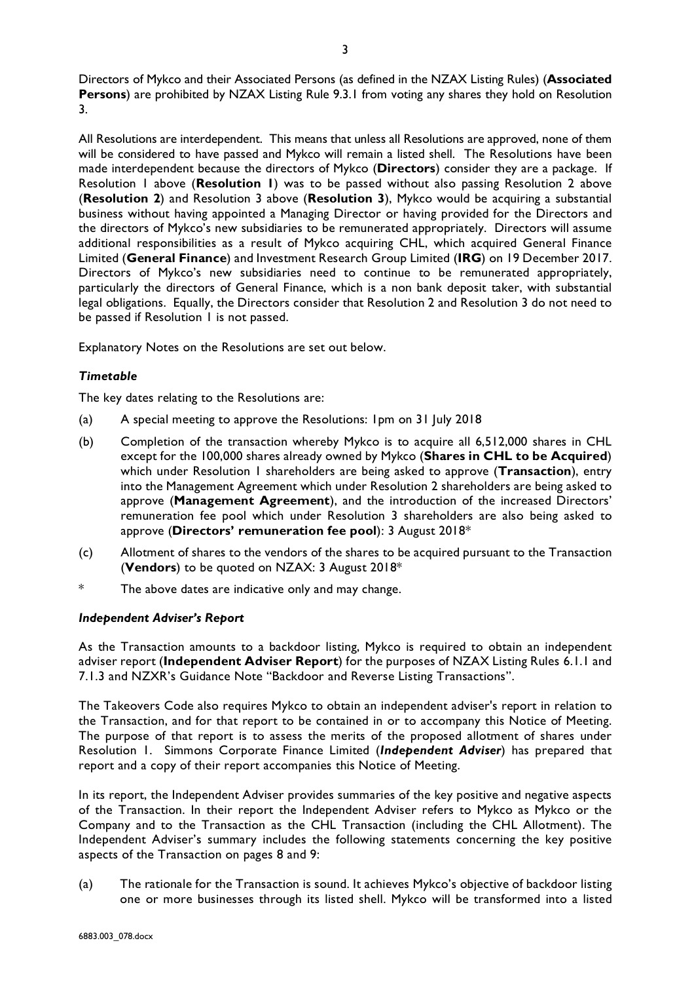Directors of Mykco and their Associated Persons (as defined in the NZAX Listing Rules) (**Associated Persons**) are prohibited by NZAX Listing Rule 9.3.1 from voting any shares they hold on Resolution 3.

All Resolutions are interdependent. This means that unless all Resolutions are approved, none of them will be considered to have passed and Mykco will remain a listed shell. The Resolutions have been made interdependent because the directors of Mykco (**Directors**) consider they are a package. If Resolution 1 above (**Resolution 1**) was to be passed without also passing Resolution 2 above (**Resolution 2**) and Resolution 3 above (**Resolution 3**), Mykco would be acquiring a substantial business without having appointed a Managing Director or having provided for the Directors and the directors of Mykco's new subsidiaries to be remunerated appropriately. Directors will assume additional responsibilities as a result of Mykco acquiring CHL, which acquired General Finance Limited (**General Finance**) and Investment Research Group Limited (**IRG**) on 19 December 2017. Directors of Mykco's new subsidiaries need to continue to be remunerated appropriately, particularly the directors of General Finance, which is a non bank deposit taker, with substantial legal obligations. Equally, the Directors consider that Resolution 2 and Resolution 3 do not need to be passed if Resolution 1 is not passed.

Explanatory Notes on the Resolutions are set out below.

# *Timetable*

The key dates relating to the Resolutions are:

- (a) A special meeting to approve the Resolutions: 1pm on 31 July 2018
- (b) Completion of the transaction whereby Mykco is to acquire all 6,512,000 shares in CHL except for the 100,000 shares already owned by Mykco (**Shares in CHL to be Acquired**) which under Resolution 1 shareholders are being asked to approve (**Transaction**), entry into the Management Agreement which under Resolution 2 shareholders are being asked to approve (**Management Agreement**), and the introduction of the increased Directors' remuneration fee pool which under Resolution 3 shareholders are also being asked to approve (**Directors' remuneration fee pool**): 3 August 2018\*
- (c) Allotment of shares to the vendors of the shares to be acquired pursuant to the Transaction (**Vendors**) to be quoted on NZAX: 3 August 2018\*
- The above dates are indicative only and may change.

### *Independent Adviser's Report*

As the Transaction amounts to a backdoor listing, Mykco is required to obtain an independent adviser report (**Independent Adviser Report**) for the purposes of NZAX Listing Rules 6.1.1 and 7.1.3 and NZXR's Guidance Note "Backdoor and Reverse Listing Transactions".

The Takeovers Code also requires Mykco to obtain an independent adviser's report in relation to the Transaction, and for that report to be contained in or to accompany this Notice of Meeting. The purpose of that report is to assess the merits of the proposed allotment of shares under Resolution 1. Simmons Corporate Finance Limited (*Independent Adviser*) has prepared that report and a copy of their report accompanies this Notice of Meeting.

In its report, the Independent Adviser provides summaries of the key positive and negative aspects of the Transaction. In their report the Independent Adviser refers to Mykco as Mykco or the Company and to the Transaction as the CHL Transaction (including the CHL Allotment). The Independent Adviser's summary includes the following statements concerning the key positive aspects of the Transaction on pages 8 and 9:

(a) The rationale for the Transaction is sound. It achieves Mykco's objective of backdoor listing one or more businesses through its listed shell. Mykco will be transformed into a listed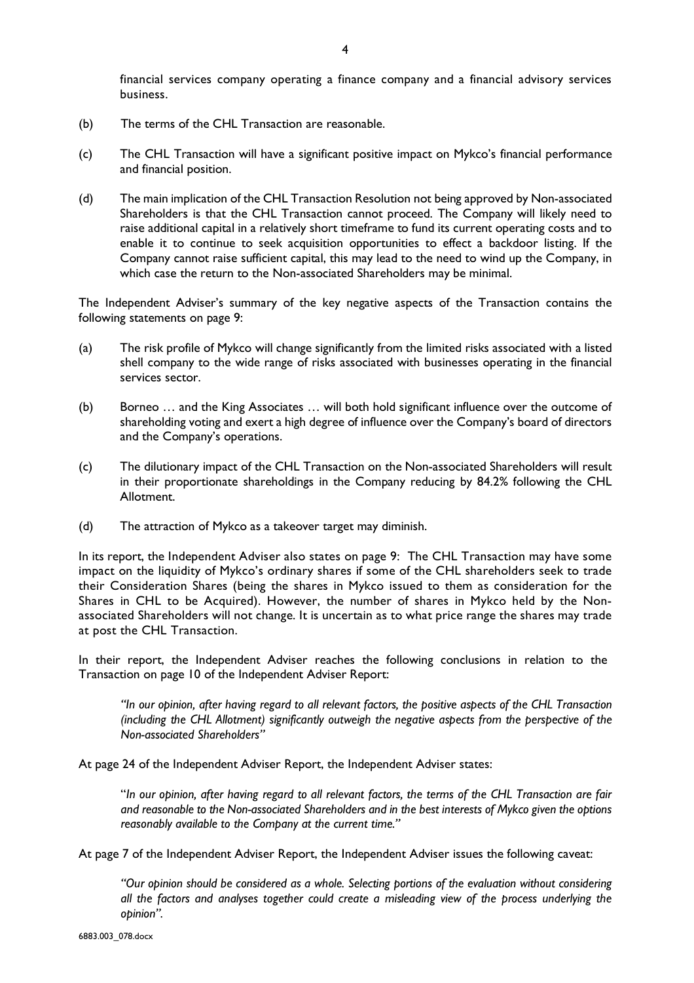financial services company operating a finance company and a financial advisory services business.

- (b) The terms of the CHL Transaction are reasonable.
- (c) The CHL Transaction will have a significant positive impact on Mykco's financial performance and financial position.
- (d) The main implication of the CHL Transaction Resolution not being approved by Non-associated Shareholders is that the CHL Transaction cannot proceed. The Company will likely need to raise additional capital in a relatively short timeframe to fund its current operating costs and to enable it to continue to seek acquisition opportunities to effect a backdoor listing. If the Company cannot raise sufficient capital, this may lead to the need to wind up the Company, in which case the return to the Non-associated Shareholders may be minimal.

The Independent Adviser's summary of the key negative aspects of the Transaction contains the following statements on page 9:

- (a) The risk profile of Mykco will change significantly from the limited risks associated with a listed shell company to the wide range of risks associated with businesses operating in the financial services sector.
- (b) Borneo … and the King Associates … will both hold significant influence over the outcome of shareholding voting and exert a high degree of influence over the Company's board of directors and the Company's operations.
- (c) The dilutionary impact of the CHL Transaction on the Non-associated Shareholders will result in their proportionate shareholdings in the Company reducing by 84.2% following the CHL Allotment.
- (d) The attraction of Mykco as a takeover target may diminish.

In its report, the Independent Adviser also states on page 9: The CHL Transaction may have some impact on the liquidity of Mykco's ordinary shares if some of the CHL shareholders seek to trade their Consideration Shares (being the shares in Mykco issued to them as consideration for the Shares in CHL to be Acquired). However, the number of shares in Mykco held by the Nonassociated Shareholders will not change. It is uncertain as to what price range the shares may trade at post the CHL Transaction.

In their report, the Independent Adviser reaches the following conclusions in relation to the Transaction on page 10 of the Independent Adviser Report:

*"In our opinion, after having regard to all relevant factors, the positive aspects of the CHL Transaction (including the CHL Allotment) significantly outweigh the negative aspects from the perspective of the Non-associated Shareholders"*

At page 24 of the Independent Adviser Report, the Independent Adviser states:

"*In our opinion, after having regard to all relevant factors, the terms of the CHL Transaction are fair and reasonable to the Non-associated Shareholders and in the best interests of Mykco given the options reasonably available to the Company at the current time."*

At page 7 of the Independent Adviser Report, the Independent Adviser issues the following caveat:

*"Our opinion should be considered as a whole. Selecting portions of the evaluation without considering all the factors and analyses together could create a misleading view of the process underlying the opinion".*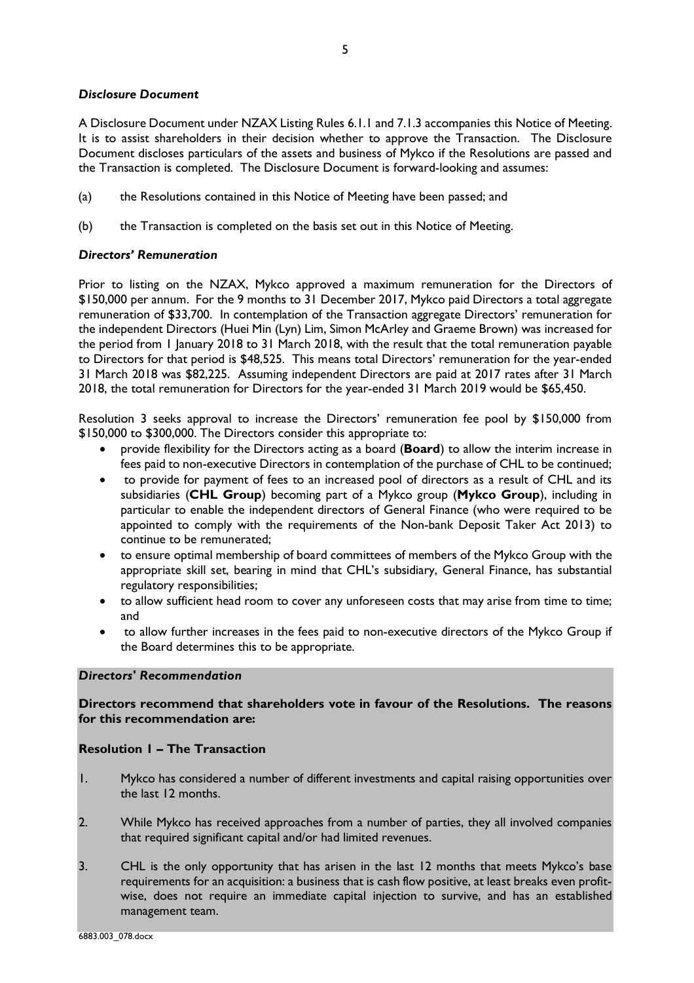## *Disclosure Document*

A Disclosure Document under NZAX Listing Rules 6.1.1 and 7.1.3 accompanies this Notice of Meeting. It is to assist shareholders in their decision whether to approve the Transaction. The Disclosure Document discloses particulars of the assets and business of Mykco if the Resolutions are passed and the Transaction is completed. The Disclosure Document is forward-looking and assumes:

- (a) the Resolutions contained in this Notice of Meeting have been passed; and
- (b) the Transaction is completed on the basis set out in this Notice of Meeting.

# *Directors' Remuneration*

Prior to listing on the NZAX, Mykco approved a maximum remuneration for the Directors of \$150,000 per annum. For the 9 months to 31 December 2017, Mykco paid Directors a total aggregate remuneration of \$33,700. In contemplation of the Transaction aggregate Directors' remuneration for the independent Directors (Huei Min (Lyn) Lim, Simon McArley and Graeme Brown) was increased for the period from 1 January 2018 to 31 March 2018, with the result that the total remuneration payable to Directors for that period is \$48,525. This means total Directors' remuneration for the year-ended 31 March 2018 was \$82,225. Assuming independent Directors are paid at 2017 rates after 31 March 2018, the total remuneration for Directors for the year-ended 31 March 2019 would be \$65,450.

Resolution 3 seeks approval to increase the Directors' remuneration fee pool by \$150,000 from \$150,000 to \$300,000. The Directors consider this appropriate to:

- provide flexibility for the Directors acting as a board (**Board**) to allow the interim increase in fees paid to non-executive Directors in contemplation of the purchase of CHL to be continued;
- to provide for payment of fees to an increased pool of directors as a result of CHL and its subsidiaries (**CHL Group**) becoming part of a Mykco group (**Mykco Group**), including in particular to enable the independent directors of General Finance (who were required to be appointed to comply with the requirements of the Non-bank Deposit Taker Act 2013) to continue to be remunerated;
- to ensure optimal membership of board committees of members of the Mykco Group with the appropriate skill set, bearing in mind that CHL's subsidiary, General Finance, has substantial regulatory responsibilities;
- to allow sufficient head room to cover any unforeseen costs that may arise from time to time; and
- to allow further increases in the fees paid to non-executive directors of the Mykco Group if the Board determines this to be appropriate.

# *Directors' Recommendation*

# **Directors recommend that shareholders vote in favour of the Resolutions. The reasons for this recommendation are:**

# **Resolution 1 – The Transaction**

- 1. Mykco has considered a number of different investments and capital raising opportunities over the last 12 months.
- 2. While Mykco has received approaches from a number of parties, they all involved companies that required significant capital and/or had limited revenues.
- 3. CHL is the only opportunity that has arisen in the last 12 months that meets Mykco's base requirements for an acquisition: a business that is cash flow positive, at least breaks even profitwise, does not require an immediate capital injection to survive, and has an established management team.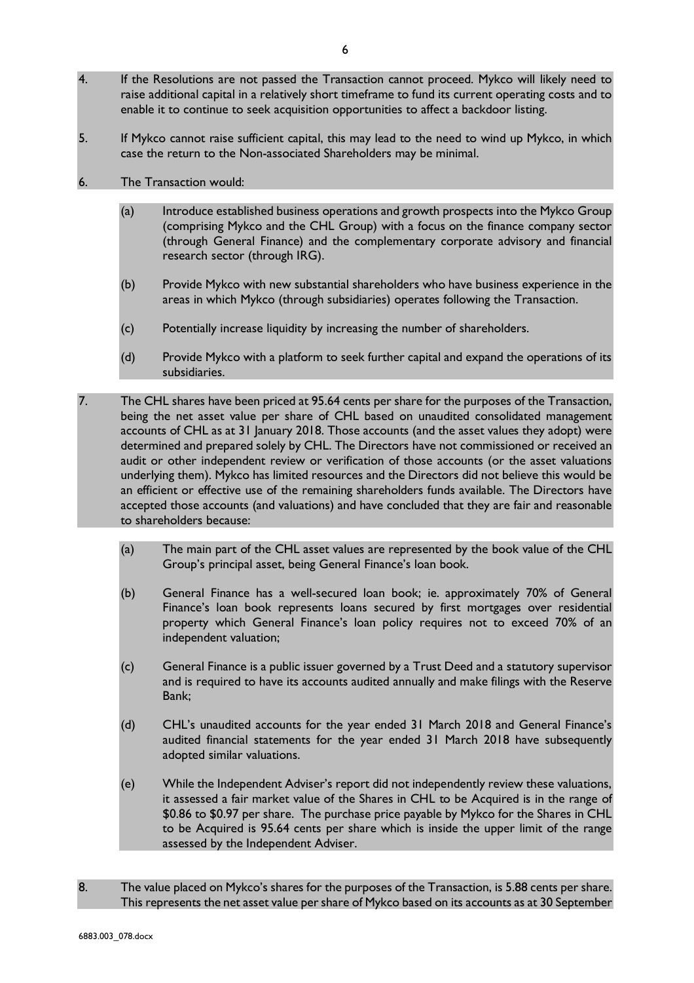- 4. If the Resolutions are not passed the Transaction cannot proceed. Mykco will likely need to raise additional capital in a relatively short timeframe to fund its current operating costs and to enable it to continue to seek acquisition opportunities to affect a backdoor listing.
- 5. If Mykco cannot raise sufficient capital, this may lead to the need to wind up Mykco, in which case the return to the Non-associated Shareholders may be minimal.
- 6. The Transaction would:
	- (a) Introduce established business operations and growth prospects into the Mykco Group (comprising Mykco and the CHL Group) with a focus on the finance company sector (through General Finance) and the complementary corporate advisory and financial research sector (through IRG).
	- (b) Provide Mykco with new substantial shareholders who have business experience in the areas in which Mykco (through subsidiaries) operates following the Transaction.
	- (c) Potentially increase liquidity by increasing the number of shareholders.
	- (d) Provide Mykco with a platform to seek further capital and expand the operations of its subsidiaries.
- 7. The CHL shares have been priced at 95.64 cents per share for the purposes of the Transaction, being the net asset value per share of CHL based on unaudited consolidated management accounts of CHL as at 31 January 2018. Those accounts (and the asset values they adopt) were determined and prepared solely by CHL. The Directors have not commissioned or received an audit or other independent review or verification of those accounts (or the asset valuations underlying them). Mykco has limited resources and the Directors did not believe this would be an efficient or effective use of the remaining shareholders funds available. The Directors have accepted those accounts (and valuations) and have concluded that they are fair and reasonable to shareholders because:
	- (a) The main part of the CHL asset values are represented by the book value of the CHL Group's principal asset, being General Finance's loan book.
	- (b) General Finance has a well-secured loan book; ie. approximately 70% of General Finance's loan book represents loans secured by first mortgages over residential property which General Finance's loan policy requires not to exceed 70% of an independent valuation;
	- (c) General Finance is a public issuer governed by a Trust Deed and a statutory supervisor and is required to have its accounts audited annually and make filings with the Reserve Bank;
	- (d) CHL's unaudited accounts for the year ended 31 March 2018 and General Finance's audited financial statements for the year ended 31 March 2018 have subsequently adopted similar valuations.
	- (e) While the Independent Adviser's report did not independently review these valuations, it assessed a fair market value of the Shares in CHL to be Acquired is in the range of \$0.86 to \$0.97 per share. The purchase price payable by Mykco for the Shares in CHL to be Acquired is 95.64 cents per share which is inside the upper limit of the range assessed by the Independent Adviser.
- 8. The value placed on Mykco's shares for the purposes of the Transaction, is 5.88 cents per share. This represents the net asset value per share of Mykco based on its accounts as at 30 September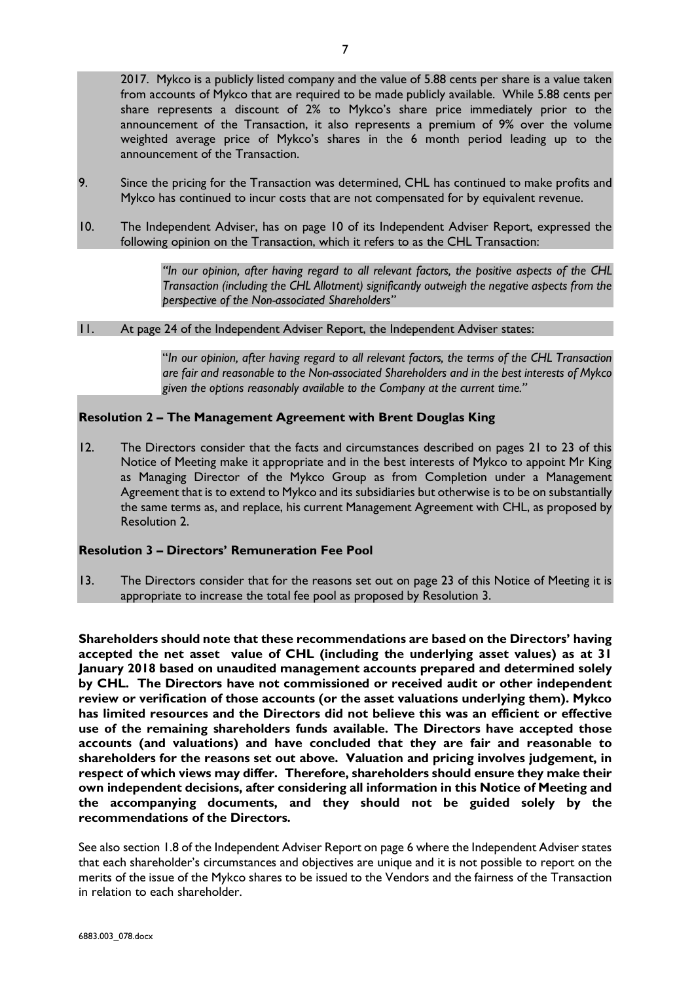2017. Mykco is a publicly listed company and the value of 5.88 cents per share is a value taken from accounts of Mykco that are required to be made publicly available. While 5.88 cents per share represents a discount of 2% to Mykco's share price immediately prior to the announcement of the Transaction, it also represents a premium of 9% over the volume weighted average price of Mykco's shares in the 6 month period leading up to the announcement of the Transaction.

- 9. Since the pricing for the Transaction was determined, CHL has continued to make profits and Mykco has continued to incur costs that are not compensated for by equivalent revenue.
- 10. The Independent Adviser, has on page 10 of its Independent Adviser Report, expressed the following opinion on the Transaction, which it refers to as the CHL Transaction:

*"In our opinion, after having regard to all relevant factors, the positive aspects of the CHL Transaction (including the CHL Allotment) significantly outweigh the negative aspects from the perspective of the Non-associated Shareholders"*

## 11. At page 24 of the Independent Adviser Report, the Independent Adviser states:

"*In our opinion, after having regard to all relevant factors, the terms of the CHL Transaction are fair and reasonable to the Non-associated Shareholders and in the best interests of Mykco given the options reasonably available to the Company at the current time."*

# **Resolution 2 – The Management Agreement with Brent Douglas King**

12. The Directors consider that the facts and circumstances described on pages 21 to 23 of this Notice of Meeting make it appropriate and in the best interests of Mykco to appoint Mr King as Managing Director of the Mykco Group as from Completion under a Management Agreement that is to extend to Mykco and its subsidiaries but otherwise is to be on substantially the same terms as, and replace, his current Management Agreement with CHL, as proposed by Resolution 2.

## **Resolution 3 – Directors' Remuneration Fee Pool**

13. The Directors consider that for the reasons set out on page 23 of this Notice of Meeting it is appropriate to increase the total fee pool as proposed by Resolution 3.

**Shareholders should note that these recommendations are based on the Directors' having accepted the net asset value of CHL (including the underlying asset values) as at 31 January 2018 based on unaudited management accounts prepared and determined solely by CHL. The Directors have not commissioned or received audit or other independent review or verification of those accounts (or the asset valuations underlying them). Mykco has limited resources and the Directors did not believe this was an efficient or effective use of the remaining shareholders funds available. The Directors have accepted those accounts (and valuations) and have concluded that they are fair and reasonable to shareholders for the reasons set out above. Valuation and pricing involves judgement, in respect of which views may differ. Therefore, shareholders should ensure they make their own independent decisions, after considering all information in this Notice of Meeting and the accompanying documents, and they should not be guided solely by the recommendations of the Directors.**

See also section 1.8 of the Independent Adviser Report on page 6 where the Independent Adviser states that each shareholder's circumstances and objectives are unique and it is not possible to report on the merits of the issue of the Mykco shares to be issued to the Vendors and the fairness of the Transaction in relation to each shareholder.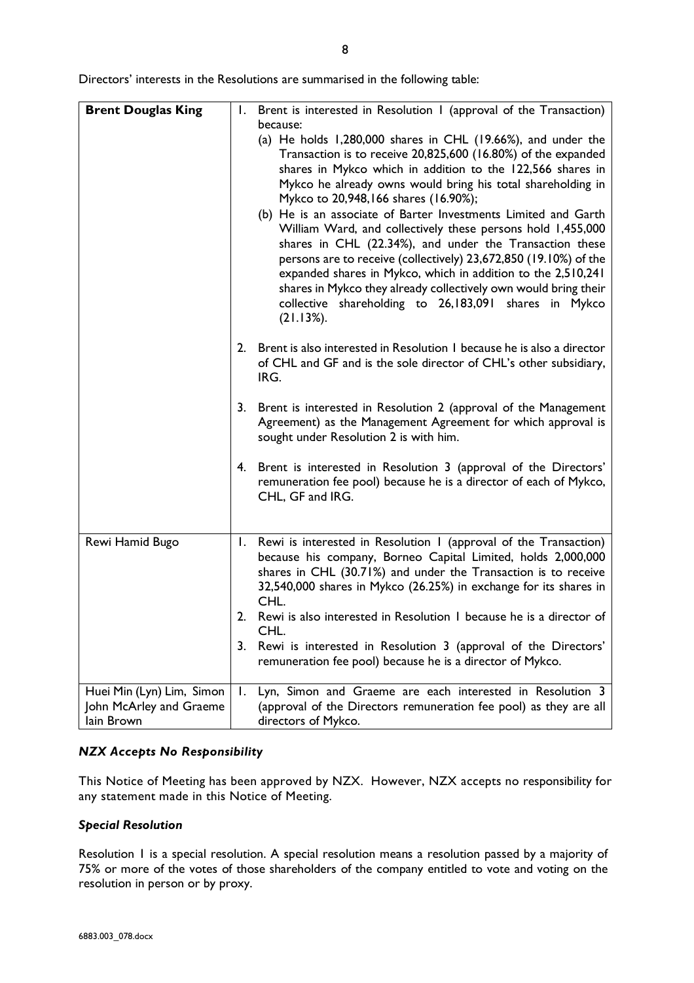Directors' interests in the Resolutions are summarised in the following table:

| <b>Brent Douglas King</b>                                          |    | 1. Brent is interested in Resolution 1 (approval of the Transaction)<br>because:<br>(a) He holds $1,280,000$ shares in CHL (19.66%), and under the<br>Transaction is to receive 20,825,600 (16.80%) of the expanded<br>shares in Mykco which in addition to the 122,566 shares in<br>Mykco he already owns would bring his total shareholding in<br>Mykco to 20,948,166 shares (16.90%);<br>(b) He is an associate of Barter Investments Limited and Garth<br>William Ward, and collectively these persons hold 1,455,000<br>shares in CHL (22.34%), and under the Transaction these<br>persons are to receive (collectively) 23,672,850 (19.10%) of the<br>expanded shares in Mykco, which in addition to the 2,510,241 |
|--------------------------------------------------------------------|----|--------------------------------------------------------------------------------------------------------------------------------------------------------------------------------------------------------------------------------------------------------------------------------------------------------------------------------------------------------------------------------------------------------------------------------------------------------------------------------------------------------------------------------------------------------------------------------------------------------------------------------------------------------------------------------------------------------------------------|
|                                                                    |    | shares in Mykco they already collectively own would bring their<br>collective shareholding to 26,183,091 shares in Mykco<br>$(21.13\%).$                                                                                                                                                                                                                                                                                                                                                                                                                                                                                                                                                                                 |
|                                                                    |    | 2. Brent is also interested in Resolution 1 because he is also a director<br>of CHL and GF and is the sole director of CHL's other subsidiary,<br>IRG.                                                                                                                                                                                                                                                                                                                                                                                                                                                                                                                                                                   |
|                                                                    |    | 3. Brent is interested in Resolution 2 (approval of the Management<br>Agreement) as the Management Agreement for which approval is<br>sought under Resolution 2 is with him.                                                                                                                                                                                                                                                                                                                                                                                                                                                                                                                                             |
|                                                                    |    | 4. Brent is interested in Resolution 3 (approval of the Directors'<br>remuneration fee pool) because he is a director of each of Mykco,<br>CHL, GF and IRG.                                                                                                                                                                                                                                                                                                                                                                                                                                                                                                                                                              |
| Rewi Hamid Bugo                                                    |    | 1. Rewi is interested in Resolution 1 (approval of the Transaction)<br>because his company, Borneo Capital Limited, holds 2,000,000<br>shares in CHL (30.71%) and under the Transaction is to receive<br>32,540,000 shares in Mykco (26.25%) in exchange for its shares in<br>CHL.                                                                                                                                                                                                                                                                                                                                                                                                                                       |
|                                                                    | 2. | Rewi is also interested in Resolution 1 because he is a director of<br>CHL.                                                                                                                                                                                                                                                                                                                                                                                                                                                                                                                                                                                                                                              |
|                                                                    | 3. | Rewi is interested in Resolution 3 (approval of the Directors'<br>remuneration fee pool) because he is a director of Mykco.                                                                                                                                                                                                                                                                                                                                                                                                                                                                                                                                                                                              |
| Huei Min (Lyn) Lim, Simon<br>John McArley and Graeme<br>lain Brown | I. | Lyn, Simon and Graeme are each interested in Resolution 3<br>(approval of the Directors remuneration fee pool) as they are all<br>directors of Mykco.                                                                                                                                                                                                                                                                                                                                                                                                                                                                                                                                                                    |

## *NZX Accepts No Responsibility*

This Notice of Meeting has been approved by NZX. However, NZX accepts no responsibility for any statement made in this Notice of Meeting.

## *Special Resolution*

Resolution 1 is a special resolution. A special resolution means a resolution passed by a majority of 75% or more of the votes of those shareholders of the company entitled to vote and voting on the resolution in person or by proxy.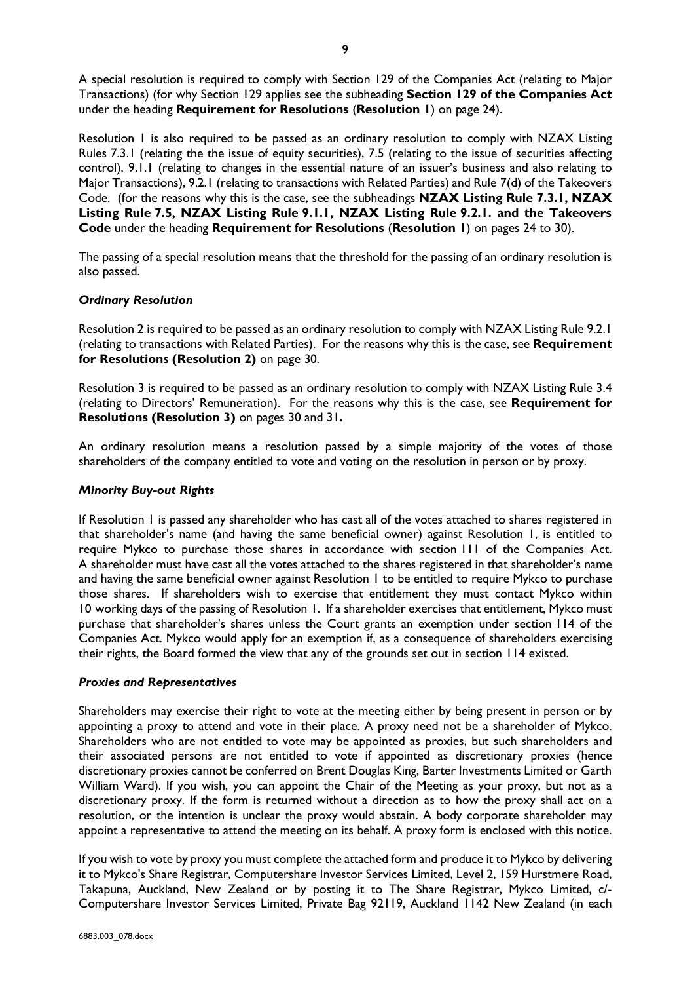A special resolution is required to comply with Section 129 of the Companies Act (relating to Major Transactions) (for why Section 129 applies see the subheading **Section 129 of the Companies Act** under the heading **Requirement for Resolutions** (**Resolution 1**) on page 24).

Resolution 1 is also required to be passed as an ordinary resolution to comply with NZAX Listing Rules 7.3.1 (relating the the issue of equity securities), 7.5 (relating to the issue of securities affecting control), 9.1.1 (relating to changes in the essential nature of an issuer's business and also relating to Major Transactions), 9.2.1 (relating to transactions with Related Parties) and Rule 7(d) of the Takeovers Code. (for the reasons why this is the case, see the subheadings **NZAX Listing Rule 7.3.1, NZAX Listing Rule 7.5, NZAX Listing Rule 9.1.1, NZAX Listing Rule 9.2.1. and the Takeovers Code** under the heading **Requirement for Resolutions** (**Resolution 1**) on pages 24 to 30).

The passing of a special resolution means that the threshold for the passing of an ordinary resolution is also passed.

# *Ordinary Resolution*

Resolution 2 is required to be passed as an ordinary resolution to comply with NZAX Listing Rule 9.2.1 (relating to transactions with Related Parties). For the reasons why this is the case, see **Requirement for Resolutions (Resolution 2)** on page 30.

Resolution 3 is required to be passed as an ordinary resolution to comply with NZAX Listing Rule 3.4 (relating to Directors' Remuneration). For the reasons why this is the case, see **Requirement for Resolutions (Resolution 3)** on pages 30 and 31**.**

An ordinary resolution means a resolution passed by a simple majority of the votes of those shareholders of the company entitled to vote and voting on the resolution in person or by proxy.

# *Minority Buy-out Rights*

If Resolution 1 is passed any shareholder who has cast all of the votes attached to shares registered in that shareholder's name (and having the same beneficial owner) against Resolution 1, is entitled to require Mykco to purchase those shares in accordance with section 111 of the Companies Act. A shareholder must have cast all the votes attached to the shares registered in that shareholder's name and having the same beneficial owner against Resolution 1 to be entitled to require Mykco to purchase those shares. If shareholders wish to exercise that entitlement they must contact Mykco within 10 working days of the passing of Resolution 1. If a shareholder exercises that entitlement, Mykco must purchase that shareholder's shares unless the Court grants an exemption under section 114 of the Companies Act. Mykco would apply for an exemption if, as a consequence of shareholders exercising their rights, the Board formed the view that any of the grounds set out in section 114 existed.

## *Proxies and Representatives*

Shareholders may exercise their right to vote at the meeting either by being present in person or by appointing a proxy to attend and vote in their place. A proxy need not be a shareholder of Mykco. Shareholders who are not entitled to vote may be appointed as proxies, but such shareholders and their associated persons are not entitled to vote if appointed as discretionary proxies (hence discretionary proxies cannot be conferred on Brent Douglas King, Barter Investments Limited or Garth William Ward). If you wish, you can appoint the Chair of the Meeting as your proxy, but not as a discretionary proxy. If the form is returned without a direction as to how the proxy shall act on a resolution, or the intention is unclear the proxy would abstain. A body corporate shareholder may appoint a representative to attend the meeting on its behalf. A proxy form is enclosed with this notice.

If you wish to vote by proxy you must complete the attached form and produce it to Mykco by delivering it to Mykco's Share Registrar, Computershare Investor Services Limited, Level 2, 159 Hurstmere Road, Takapuna, Auckland, New Zealand or by posting it to The Share Registrar, Mykco Limited, c/- Computershare Investor Services Limited, Private Bag 92119, Auckland 1142 New Zealand (in each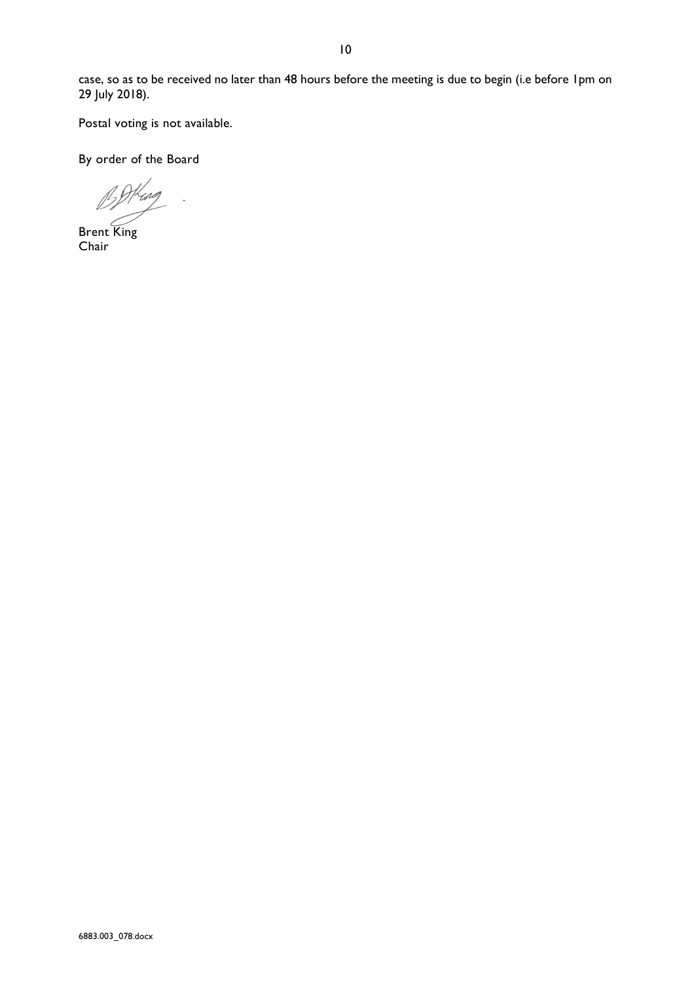case, so as to be received no later than 48 hours before the meeting is due to begin (i.e before 1pm on 29 July 2018).

Postal voting is not available.

By order of the Board

 $\mathbb{B}^6$ 

Brent King Chair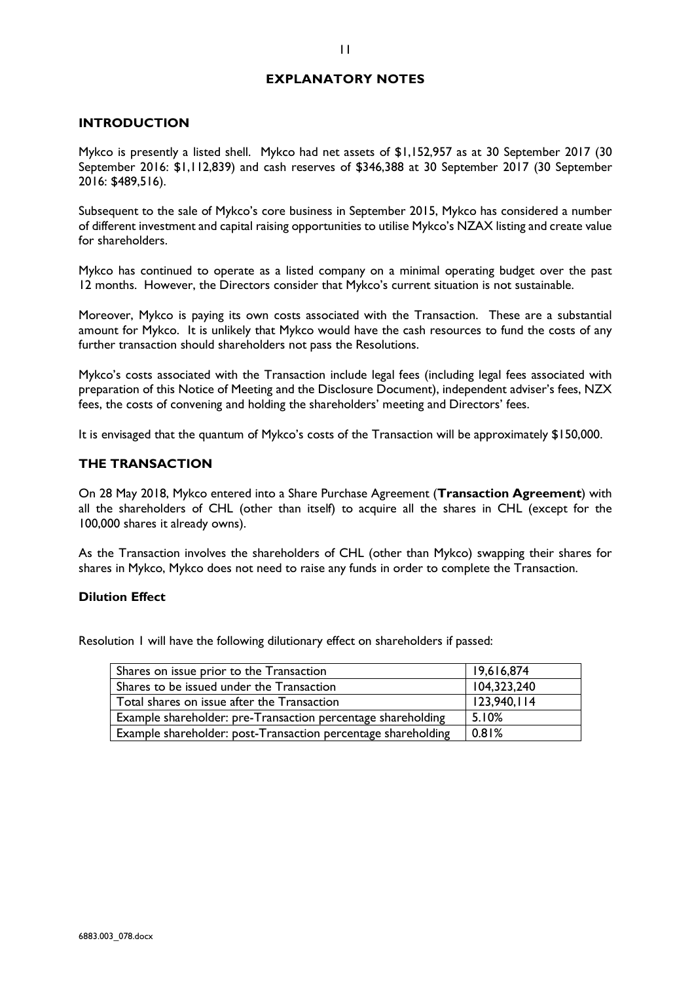# **EXPLANATORY NOTES**

## **INTRODUCTION**

Mykco is presently a listed shell. Mykco had net assets of \$1,152,957 as at 30 September 2017 (30 September 2016: \$1,112,839) and cash reserves of \$346,388 at 30 September 2017 (30 September 2016: \$489,516).

Subsequent to the sale of Mykco's core business in September 2015, Mykco has considered a number of different investment and capital raising opportunities to utilise Mykco's NZAX listing and create value for shareholders.

Mykco has continued to operate as a listed company on a minimal operating budget over the past 12 months. However, the Directors consider that Mykco's current situation is not sustainable.

Moreover, Mykco is paying its own costs associated with the Transaction. These are a substantial amount for Mykco. It is unlikely that Mykco would have the cash resources to fund the costs of any further transaction should shareholders not pass the Resolutions.

Mykco's costs associated with the Transaction include legal fees (including legal fees associated with preparation of this Notice of Meeting and the Disclosure Document), independent adviser's fees, NZX fees, the costs of convening and holding the shareholders' meeting and Directors' fees.

It is envisaged that the quantum of Mykco's costs of the Transaction will be approximately \$150,000.

### **THE TRANSACTION**

On 28 May 2018, Mykco entered into a Share Purchase Agreement (**Transaction Agreement**) with all the shareholders of CHL (other than itself) to acquire all the shares in CHL (except for the 100,000 shares it already owns).

As the Transaction involves the shareholders of CHL (other than Mykco) swapping their shares for shares in Mykco, Mykco does not need to raise any funds in order to complete the Transaction.

## **Dilution Effect**

Resolution 1 will have the following dilutionary effect on shareholders if passed:

| Shares on issue prior to the Transaction                      | 19,616,874  |
|---------------------------------------------------------------|-------------|
| Shares to be issued under the Transaction                     | 104,323,240 |
| Total shares on issue after the Transaction                   | 123,940,114 |
| Example shareholder: pre-Transaction percentage shareholding  | 5.10%       |
| Example shareholder: post-Transaction percentage shareholding | 0.81%       |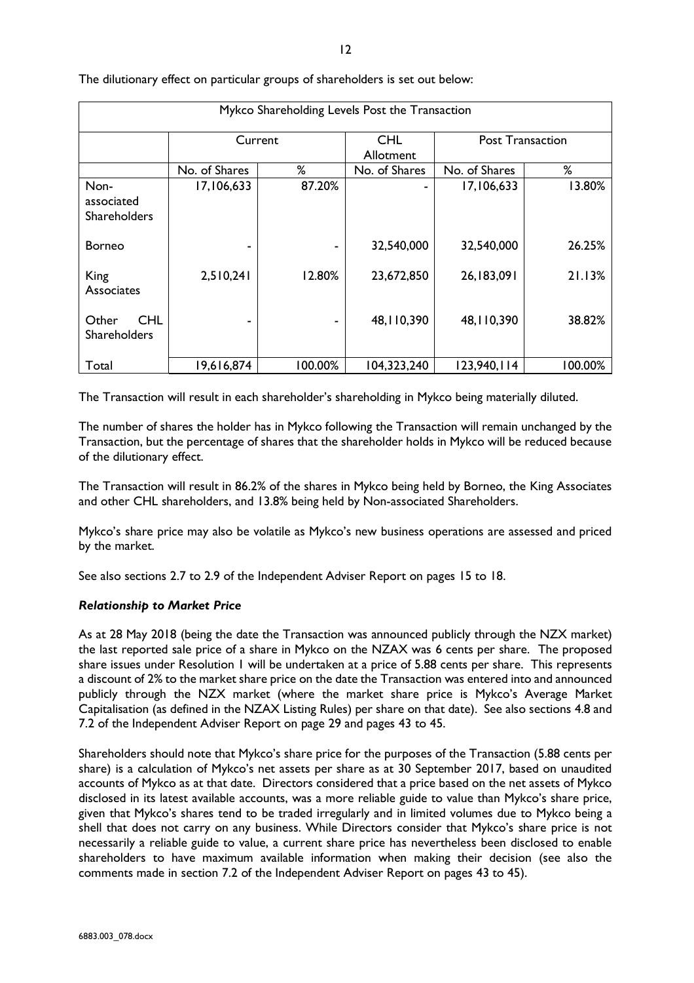| Mykco Shareholding Levels Post the Transaction |               |         |               |                         |         |
|------------------------------------------------|---------------|---------|---------------|-------------------------|---------|
|                                                | Current       |         | <b>CHL</b>    | <b>Post Transaction</b> |         |
|                                                | Allotment     |         |               |                         |         |
|                                                | No. of Shares | ℅       | No. of Shares | No. of Shares           | %       |
| Non-                                           | 17,106,633    | 87.20%  |               | 17,106,633              | 13.80%  |
| associated                                     |               |         |               |                         |         |
| Shareholders                                   |               |         |               |                         |         |
|                                                |               |         |               |                         |         |
| <b>Borneo</b>                                  |               |         | 32,540,000    | 32,540,000              | 26.25%  |
|                                                |               |         |               |                         |         |
| King                                           | 2,510,241     | 12.80%  | 23,672,850    | 26,183,091              | 21.13%  |
| Associates                                     |               |         |               |                         |         |
|                                                |               |         |               |                         |         |
| <b>CHL</b><br>Other                            |               |         | 48, 110, 390  | 48, 110, 390            | 38.82%  |
| <b>Shareholders</b>                            |               |         |               |                         |         |
| Total                                          | 19,616,874    | 100.00% | 104,323,240   | 123,940,114             | 100.00% |
|                                                |               |         |               |                         |         |

The dilutionary effect on particular groups of shareholders is set out below:

The Transaction will result in each shareholder's shareholding in Mykco being materially diluted.

The number of shares the holder has in Mykco following the Transaction will remain unchanged by the Transaction, but the percentage of shares that the shareholder holds in Mykco will be reduced because of the dilutionary effect.

The Transaction will result in 86.2% of the shares in Mykco being held by Borneo, the King Associates and other CHL shareholders, and 13.8% being held by Non-associated Shareholders.

Mykco's share price may also be volatile as Mykco's new business operations are assessed and priced by the market.

See also sections 2.7 to 2.9 of the Independent Adviser Report on pages 15 to 18.

## *Relationship to Market Price*

As at 28 May 2018 (being the date the Transaction was announced publicly through the NZX market) the last reported sale price of a share in Mykco on the NZAX was 6 cents per share. The proposed share issues under Resolution 1 will be undertaken at a price of 5.88 cents per share. This represents a discount of 2% to the market share price on the date the Transaction was entered into and announced publicly through the NZX market (where the market share price is Mykco's Average Market Capitalisation (as defined in the NZAX Listing Rules) per share on that date). See also sections 4.8 and 7.2 of the Independent Adviser Report on page 29 and pages 43 to 45.

Shareholders should note that Mykco's share price for the purposes of the Transaction (5.88 cents per share) is a calculation of Mykco's net assets per share as at 30 September 2017, based on unaudited accounts of Mykco as at that date. Directors considered that a price based on the net assets of Mykco disclosed in its latest available accounts, was a more reliable guide to value than Mykco's share price, given that Mykco's shares tend to be traded irregularly and in limited volumes due to Mykco being a shell that does not carry on any business. While Directors consider that Mykco's share price is not necessarily a reliable guide to value, a current share price has nevertheless been disclosed to enable shareholders to have maximum available information when making their decision (see also the comments made in section 7.2 of the Independent Adviser Report on pages 43 to 45).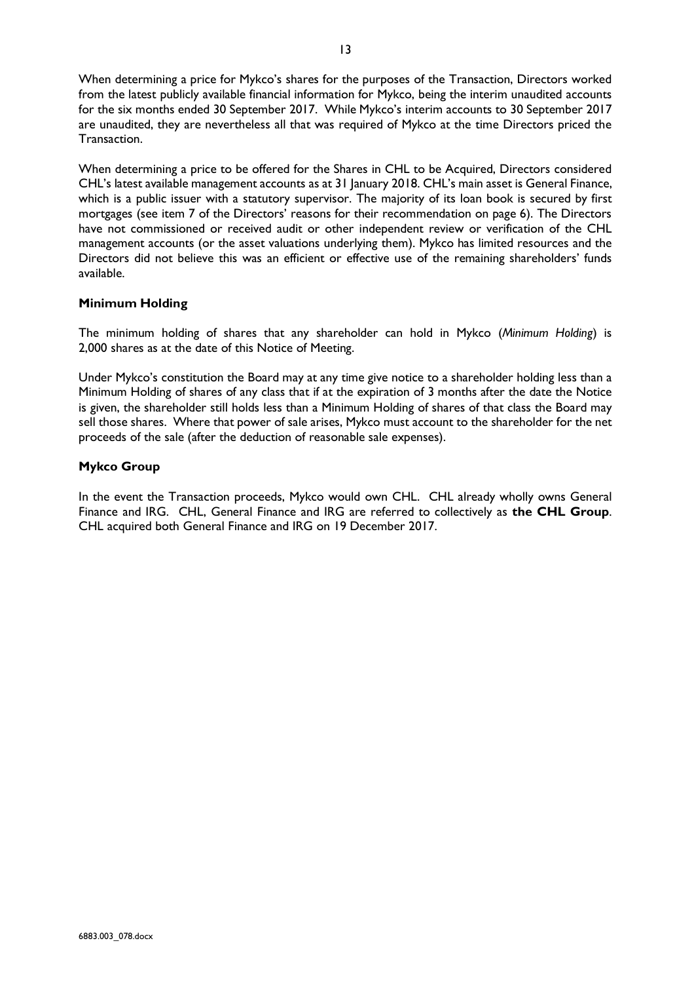When determining a price for Mykco's shares for the purposes of the Transaction, Directors worked from the latest publicly available financial information for Mykco, being the interim unaudited accounts for the six months ended 30 September 2017. While Mykco's interim accounts to 30 September 2017 are unaudited, they are nevertheless all that was required of Mykco at the time Directors priced the Transaction.

When determining a price to be offered for the Shares in CHL to be Acquired, Directors considered CHL's latest available management accounts as at 31 January 2018. CHL's main asset is General Finance, which is a public issuer with a statutory supervisor. The majority of its loan book is secured by first mortgages (see item 7 of the Directors' reasons for their recommendation on page 6). The Directors have not commissioned or received audit or other independent review or verification of the CHL management accounts (or the asset valuations underlying them). Mykco has limited resources and the Directors did not believe this was an efficient or effective use of the remaining shareholders' funds available.

# **Minimum Holding**

The minimum holding of shares that any shareholder can hold in Mykco (*Minimum Holding*) is 2,000 shares as at the date of this Notice of Meeting.

Under Mykco's constitution the Board may at any time give notice to a shareholder holding less than a Minimum Holding of shares of any class that if at the expiration of 3 months after the date the Notice is given, the shareholder still holds less than a Minimum Holding of shares of that class the Board may sell those shares. Where that power of sale arises, Mykco must account to the shareholder for the net proceeds of the sale (after the deduction of reasonable sale expenses).

# **Mykco Group**

In the event the Transaction proceeds, Mykco would own CHL. CHL already wholly owns General Finance and IRG. CHL, General Finance and IRG are referred to collectively as **the CHL Group**. CHL acquired both General Finance and IRG on 19 December 2017.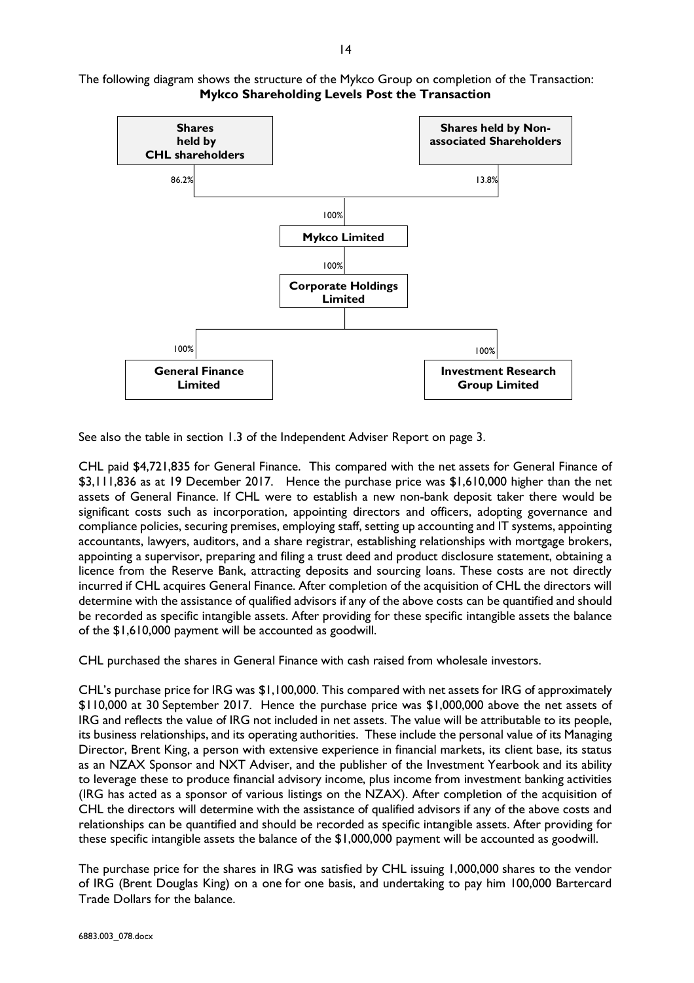

The following diagram shows the structure of the Mykco Group on completion of the Transaction: **Mykco Shareholding Levels Post the Transaction**

See also the table in section 1.3 of the Independent Adviser Report on page 3.

CHL paid \$4,721,835 for General Finance. This compared with the net assets for General Finance of \$3,111,836 as at 19 December 2017. Hence the purchase price was \$1,610,000 higher than the net assets of General Finance. If CHL were to establish a new non-bank deposit taker there would be significant costs such as incorporation, appointing directors and officers, adopting governance and compliance policies, securing premises, employing staff, setting up accounting and IT systems, appointing accountants, lawyers, auditors, and a share registrar, establishing relationships with mortgage brokers, appointing a supervisor, preparing and filing a trust deed and product disclosure statement, obtaining a licence from the Reserve Bank, attracting deposits and sourcing loans. These costs are not directly incurred if CHL acquires General Finance. After completion of the acquisition of CHL the directors will determine with the assistance of qualified advisors if any of the above costs can be quantified and should be recorded as specific intangible assets. After providing for these specific intangible assets the balance of the \$1,610,000 payment will be accounted as goodwill.

CHL purchased the shares in General Finance with cash raised from wholesale investors.

CHL's purchase price for IRG was \$1,100,000. This compared with net assets for IRG of approximately \$110,000 at 30 September 2017. Hence the purchase price was \$1,000,000 above the net assets of IRG and reflects the value of IRG not included in net assets. The value will be attributable to its people, its business relationships, and its operating authorities. These include the personal value of its Managing Director, Brent King, a person with extensive experience in financial markets, its client base, its status as an NZAX Sponsor and NXT Adviser, and the publisher of the Investment Yearbook and its ability to leverage these to produce financial advisory income, plus income from investment banking activities (IRG has acted as a sponsor of various listings on the NZAX). After completion of the acquisition of CHL the directors will determine with the assistance of qualified advisors if any of the above costs and relationships can be quantified and should be recorded as specific intangible assets. After providing for these specific intangible assets the balance of the \$1,000,000 payment will be accounted as goodwill.

The purchase price for the shares in IRG was satisfied by CHL issuing 1,000,000 shares to the vendor of IRG (Brent Douglas King) on a one for one basis, and undertaking to pay him 100,000 Bartercard Trade Dollars for the balance.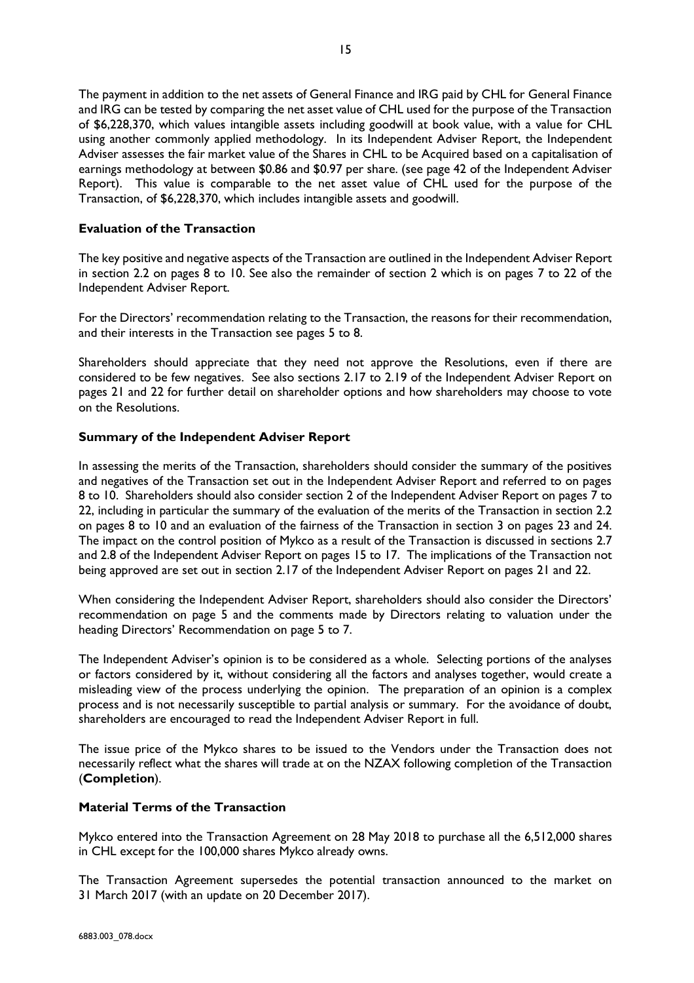The payment in addition to the net assets of General Finance and IRG paid by CHL for General Finance and IRG can be tested by comparing the net asset value of CHL used for the purpose of the Transaction of \$6,228,370, which values intangible assets including goodwill at book value, with a value for CHL using another commonly applied methodology. In its Independent Adviser Report, the Independent Adviser assesses the fair market value of the Shares in CHL to be Acquired based on a capitalisation of earnings methodology at between \$0.86 and \$0.97 per share. (see page 42 of the Independent Adviser Report). This value is comparable to the net asset value of CHL used for the purpose of the Transaction, of \$6,228,370, which includes intangible assets and goodwill.

# **Evaluation of the Transaction**

The key positive and negative aspects of the Transaction are outlined in the Independent Adviser Report in section 2.2 on pages 8 to 10. See also the remainder of section 2 which is on pages 7 to 22 of the Independent Adviser Report.

For the Directors' recommendation relating to the Transaction, the reasons for their recommendation, and their interests in the Transaction see pages 5 to 8.

Shareholders should appreciate that they need not approve the Resolutions, even if there are considered to be few negatives. See also sections 2.17 to 2.19 of the Independent Adviser Report on pages 21 and 22 for further detail on shareholder options and how shareholders may choose to vote on the Resolutions.

## **Summary of the Independent Adviser Report**

In assessing the merits of the Transaction, shareholders should consider the summary of the positives and negatives of the Transaction set out in the Independent Adviser Report and referred to on pages 8 to 10. Shareholders should also consider section 2 of the Independent Adviser Report on pages 7 to 22, including in particular the summary of the evaluation of the merits of the Transaction in section 2.2 on pages 8 to 10 and an evaluation of the fairness of the Transaction in section 3 on pages 23 and 24. The impact on the control position of Mykco as a result of the Transaction is discussed in sections 2.7 and 2.8 of the Independent Adviser Report on pages 15 to 17. The implications of the Transaction not being approved are set out in section 2.17 of the Independent Adviser Report on pages 21 and 22.

When considering the Independent Adviser Report, shareholders should also consider the Directors' recommendation on page 5 and the comments made by Directors relating to valuation under the heading Directors' Recommendation on page 5 to 7.

The Independent Adviser's opinion is to be considered as a whole. Selecting portions of the analyses or factors considered by it, without considering all the factors and analyses together, would create a misleading view of the process underlying the opinion. The preparation of an opinion is a complex process and is not necessarily susceptible to partial analysis or summary. For the avoidance of doubt, shareholders are encouraged to read the Independent Adviser Report in full.

The issue price of the Mykco shares to be issued to the Vendors under the Transaction does not necessarily reflect what the shares will trade at on the NZAX following completion of the Transaction (**Completion**).

# **Material Terms of the Transaction**

Mykco entered into the Transaction Agreement on 28 May 2018 to purchase all the 6,512,000 shares in CHL except for the 100,000 shares Mykco already owns.

The Transaction Agreement supersedes the potential transaction announced to the market on 31 March 2017 (with an update on 20 December 2017).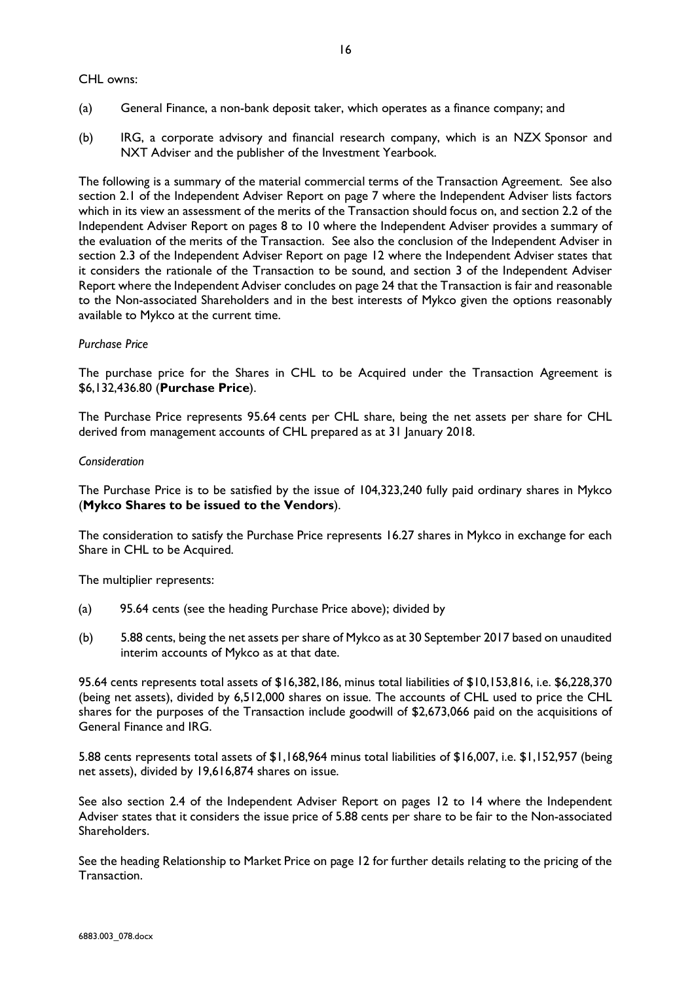CHL owns:

16

- (a) General Finance, a non-bank deposit taker, which operates as a finance company; and
- (b) IRG, a corporate advisory and financial research company, which is an NZX Sponsor and NXT Adviser and the publisher of the Investment Yearbook.

The following is a summary of the material commercial terms of the Transaction Agreement. See also section 2.1 of the Independent Adviser Report on page 7 where the Independent Adviser lists factors which in its view an assessment of the merits of the Transaction should focus on, and section 2.2 of the Independent Adviser Report on pages 8 to 10 where the Independent Adviser provides a summary of the evaluation of the merits of the Transaction. See also the conclusion of the Independent Adviser in section 2.3 of the Independent Adviser Report on page 12 where the Independent Adviser states that it considers the rationale of the Transaction to be sound, and section 3 of the Independent Adviser Report where the Independent Adviser concludes on page 24 that the Transaction is fair and reasonable to the Non-associated Shareholders and in the best interests of Mykco given the options reasonably available to Mykco at the current time.

## *Purchase Price*

The purchase price for the Shares in CHL to be Acquired under the Transaction Agreement is \$6,132,436.80 (**Purchase Price**).

The Purchase Price represents 95.64 cents per CHL share, being the net assets per share for CHL derived from management accounts of CHL prepared as at 31 January 2018.

### *Consideration*

The Purchase Price is to be satisfied by the issue of 104,323,240 fully paid ordinary shares in Mykco (**Mykco Shares to be issued to the Vendors**).

The consideration to satisfy the Purchase Price represents 16.27 shares in Mykco in exchange for each Share in CHL to be Acquired.

The multiplier represents:

- (a) 95.64 cents (see the heading Purchase Price above); divided by
- (b) 5.88 cents, being the net assets per share of Mykco as at 30 September 2017 based on unaudited interim accounts of Mykco as at that date.

95.64 cents represents total assets of \$16,382,186, minus total liabilities of \$10,153,816, i.e. \$6,228,370 (being net assets), divided by 6,512,000 shares on issue. The accounts of CHL used to price the CHL shares for the purposes of the Transaction include goodwill of \$2,673,066 paid on the acquisitions of General Finance and IRG.

5.88 cents represents total assets of \$1,168,964 minus total liabilities of \$16,007, i.e. \$1,152,957 (being net assets), divided by 19,616,874 shares on issue.

See also section 2.4 of the Independent Adviser Report on pages 12 to 14 where the Independent Adviser states that it considers the issue price of 5.88 cents per share to be fair to the Non-associated Shareholders.

See the heading Relationship to Market Price on page 12 for further details relating to the pricing of the Transaction.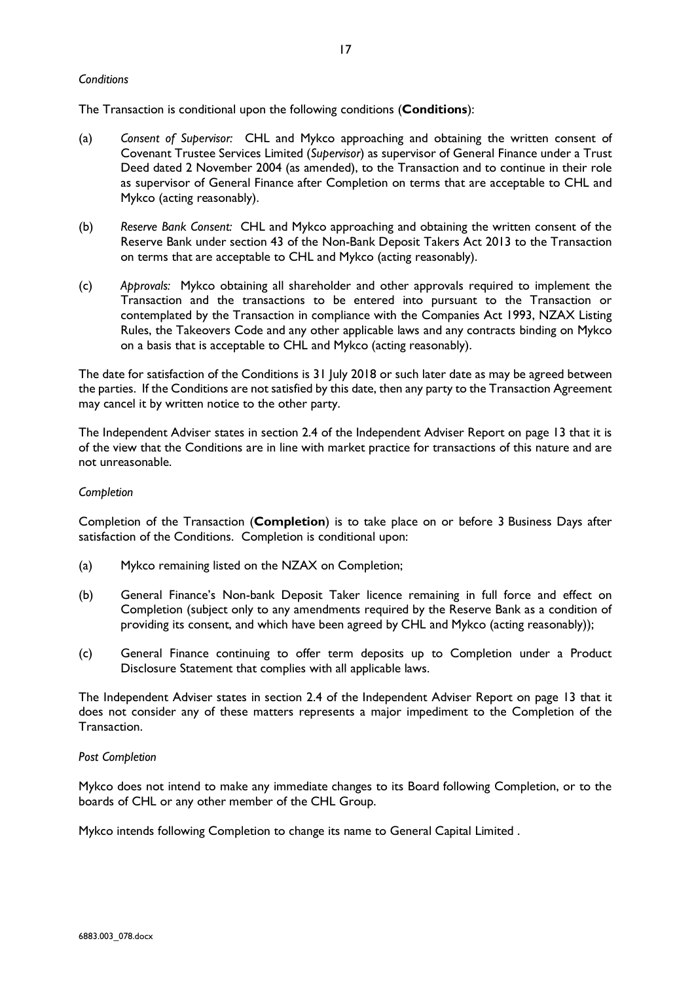## *Conditions*

The Transaction is conditional upon the following conditions (**Conditions**):

- (a) *Consent of Supervisor:* CHL and Mykco approaching and obtaining the written consent of Covenant Trustee Services Limited (*Supervisor*) as supervisor of General Finance under a Trust Deed dated 2 November 2004 (as amended), to the Transaction and to continue in their role as supervisor of General Finance after Completion on terms that are acceptable to CHL and Mykco (acting reasonably).
- (b) *Reserve Bank Consent:* CHL and Mykco approaching and obtaining the written consent of the Reserve Bank under section 43 of the Non-Bank Deposit Takers Act 2013 to the Transaction on terms that are acceptable to CHL and Mykco (acting reasonably).
- (c) *Approvals:* Mykco obtaining all shareholder and other approvals required to implement the Transaction and the transactions to be entered into pursuant to the Transaction or contemplated by the Transaction in compliance with the Companies Act 1993, NZAX Listing Rules, the Takeovers Code and any other applicable laws and any contracts binding on Mykco on a basis that is acceptable to CHL and Mykco (acting reasonably).

The date for satisfaction of the Conditions is 31 July 2018 or such later date as may be agreed between the parties. If the Conditions are not satisfied by this date, then any party to the Transaction Agreement may cancel it by written notice to the other party.

The Independent Adviser states in section 2.4 of the Independent Adviser Report on page 13 that it is of the view that the Conditions are in line with market practice for transactions of this nature and are not unreasonable.

### *Completion*

Completion of the Transaction (**Completion**) is to take place on or before 3 Business Days after satisfaction of the Conditions. Completion is conditional upon:

- (a) Mykco remaining listed on the NZAX on Completion;
- (b) General Finance's Non-bank Deposit Taker licence remaining in full force and effect on Completion (subject only to any amendments required by the Reserve Bank as a condition of providing its consent, and which have been agreed by CHL and Mykco (acting reasonably));
- (c) General Finance continuing to offer term deposits up to Completion under a Product Disclosure Statement that complies with all applicable laws.

The Independent Adviser states in section 2.4 of the Independent Adviser Report on page 13 that it does not consider any of these matters represents a major impediment to the Completion of the Transaction.

### *Post Completion*

Mykco does not intend to make any immediate changes to its Board following Completion, or to the boards of CHL or any other member of the CHL Group.

Mykco intends following Completion to change its name to General Capital Limited .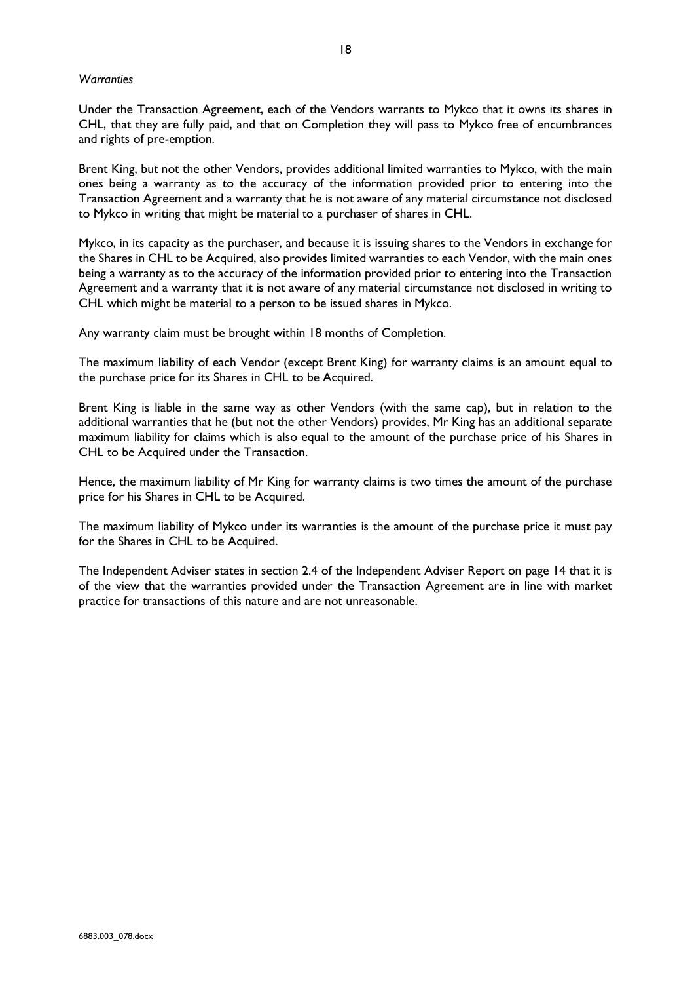### *Warranties*

Under the Transaction Agreement, each of the Vendors warrants to Mykco that it owns its shares in CHL, that they are fully paid, and that on Completion they will pass to Mykco free of encumbrances and rights of pre-emption.

Brent King, but not the other Vendors, provides additional limited warranties to Mykco, with the main ones being a warranty as to the accuracy of the information provided prior to entering into the Transaction Agreement and a warranty that he is not aware of any material circumstance not disclosed to Mykco in writing that might be material to a purchaser of shares in CHL.

Mykco, in its capacity as the purchaser, and because it is issuing shares to the Vendors in exchange for the Shares in CHL to be Acquired, also provides limited warranties to each Vendor, with the main ones being a warranty as to the accuracy of the information provided prior to entering into the Transaction Agreement and a warranty that it is not aware of any material circumstance not disclosed in writing to CHL which might be material to a person to be issued shares in Mykco.

Any warranty claim must be brought within 18 months of Completion.

The maximum liability of each Vendor (except Brent King) for warranty claims is an amount equal to the purchase price for its Shares in CHL to be Acquired.

Brent King is liable in the same way as other Vendors (with the same cap), but in relation to the additional warranties that he (but not the other Vendors) provides, Mr King has an additional separate maximum liability for claims which is also equal to the amount of the purchase price of his Shares in CHL to be Acquired under the Transaction.

Hence, the maximum liability of Mr King for warranty claims is two times the amount of the purchase price for his Shares in CHL to be Acquired.

The maximum liability of Mykco under its warranties is the amount of the purchase price it must pay for the Shares in CHL to be Acquired.

The Independent Adviser states in section 2.4 of the Independent Adviser Report on page 14 that it is of the view that the warranties provided under the Transaction Agreement are in line with market practice for transactions of this nature and are not unreasonable.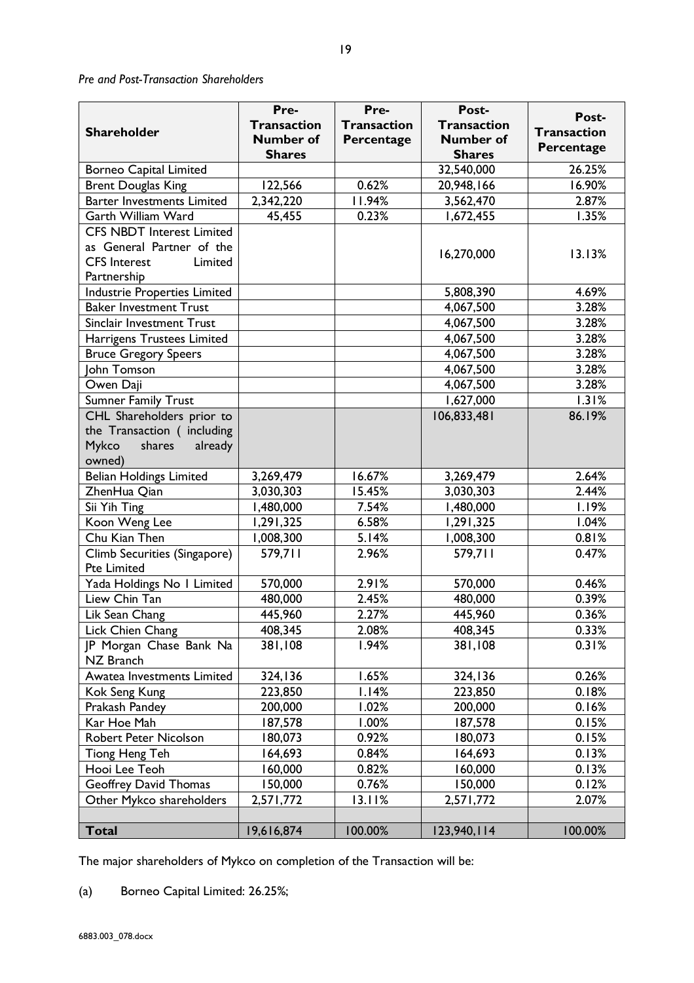*Pre and Post-Transaction Shareholders*

|                                     | Pre-               | Pre-               | Post-              |                    |
|-------------------------------------|--------------------|--------------------|--------------------|--------------------|
|                                     | <b>Transaction</b> | <b>Transaction</b> | <b>Transaction</b> | Post-              |
| <b>Shareholder</b>                  | <b>Number of</b>   | Percentage         | <b>Number of</b>   | <b>Transaction</b> |
|                                     | <b>Shares</b>      |                    | <b>Shares</b>      | Percentage         |
| <b>Borneo Capital Limited</b>       |                    |                    | 32,540,000         | 26.25%             |
| <b>Brent Douglas King</b>           | 122,566            | 0.62%              | 20,948,166         | 16.90%             |
| <b>Barter Investments Limited</b>   | 2,342,220          | 11.94%             | 3,562,470          | 2.87%              |
| Garth William Ward                  | 45,455             | 0.23%              | 1,672,455          | 1.35%              |
| <b>CFS NBDT Interest Limited</b>    |                    |                    |                    |                    |
| as General Partner of the           |                    |                    | 16,270,000         | 13.13%             |
| <b>CFS</b> Interest<br>Limited      |                    |                    |                    |                    |
| Partnership                         |                    |                    |                    |                    |
| <b>Industrie Properties Limited</b> |                    |                    | 5,808,390          | 4.69%              |
| <b>Baker Investment Trust</b>       |                    |                    | 4,067,500          | 3.28%              |
| Sinclair Investment Trust           |                    |                    | 4,067,500          | 3.28%              |
| Harrigens Trustees Limited          |                    |                    | 4,067,500          | 3.28%              |
| <b>Bruce Gregory Speers</b>         |                    |                    | 4,067,500          | 3.28%              |
| John Tomson                         |                    |                    | 4,067,500          | 3.28%              |
| Owen Daji                           |                    |                    | 4,067,500          | 3.28%              |
| <b>Sumner Family Trust</b>          |                    |                    | 1,627,000          | 1.31%              |
| CHL Shareholders prior to           |                    |                    | 106,833,481        | 86.19%             |
| the Transaction (including          |                    |                    |                    |                    |
| Mykco<br>shares<br>already          |                    |                    |                    |                    |
| owned)                              |                    |                    |                    |                    |
| <b>Belian Holdings Limited</b>      | 3,269,479          | 16.67%             | 3,269,479          | 2.64%              |
| ZhenHua Qian                        | 3,030,303          | 15.45%             | 3,030,303          | 2.44%              |
| Sii Yih Ting                        | 1,480,000          | 7.54%              | 1,480,000          | 1.19%              |
| Koon Weng Lee                       | 1,291,325          | 6.58%              | 1,291,325          | 1.04%              |
| Chu Kian Then                       | 1,008,300          | 5.14%              | 1,008,300          | 0.81%              |
| Climb Securities (Singapore)        | 579,711            | 2.96%              | 579,711            | 0.47%              |
| <b>Pte Limited</b>                  |                    |                    |                    |                    |
| Yada Holdings No I Limited          | 570,000            | 2.91%              | 570,000            | 0.46%              |
| Liew Chin Tan                       | 480,000            | 2.45%              | 480,000            | 0.39%              |
| Lik Sean Chang                      | 445,960            | 2.27%              | 445,960            | 0.36%              |
| Lick Chien Chang                    | 408,345            | 2.08%              | 408,345            | 0.33%              |
| JP Morgan Chase Bank Na             | 381,108            | 1.94%              | 381,108            | 0.31%              |
| NZ Branch                           |                    |                    |                    |                    |
| Awatea Investments Limited          | 324,136            | 1.65%              | 324,136            | 0.26%              |
| Kok Seng Kung                       | 223,850            | 1.14%              | 223,850            | 0.18%              |
| Prakash Pandey                      | 200,000            | 1.02%              | 200,000            | 0.16%              |
| Kar Hoe Mah                         | 187,578            | 1.00%              | 187,578            | 0.15%              |
| Robert Peter Nicolson               | 180,073            | 0.92%              | 180,073            | 0.15%              |
| Tiong Heng Teh                      | 164,693            | 0.84%              | 164,693            | 0.13%              |
| Hooi Lee Teoh                       | 160,000            | 0.82%              | 160,000            | 0.13%              |
| <b>Geoffrey David Thomas</b>        | 150,000            | 0.76%              | 150,000            | 0.12%              |
| Other Mykco shareholders            | 2,571,772          | 13.11%             | 2,571,772          | 2.07%              |
|                                     |                    |                    |                    |                    |
| <b>Total</b>                        | 19,616,874         | 100.00%            | 123,940,114        | 100.00%            |

The major shareholders of Mykco on completion of the Transaction will be:

(a) Borneo Capital Limited: 26.25%;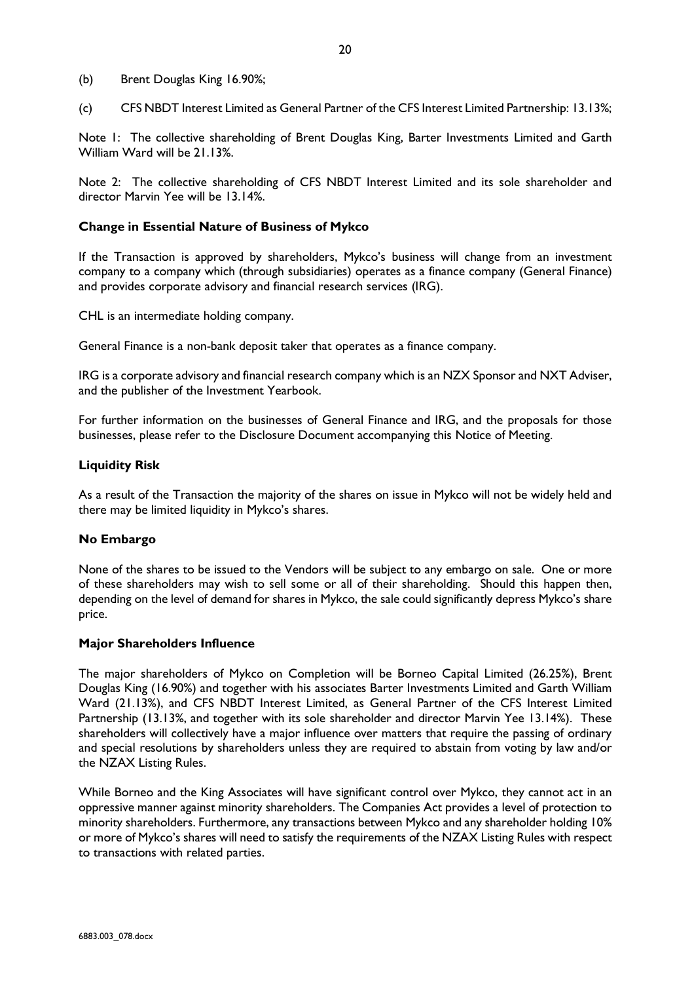- (b) Brent Douglas King 16.90%;
- (c) CFS NBDT Interest Limited as General Partner of the CFS Interest Limited Partnership: 13.13%;

Note 1: The collective shareholding of Brent Douglas King, Barter Investments Limited and Garth William Ward will be 21.13%.

Note 2: The collective shareholding of CFS NBDT Interest Limited and its sole shareholder and director Marvin Yee will be 13.14%.

### **Change in Essential Nature of Business of Mykco**

If the Transaction is approved by shareholders, Mykco's business will change from an investment company to a company which (through subsidiaries) operates as a finance company (General Finance) and provides corporate advisory and financial research services (IRG).

CHL is an intermediate holding company.

General Finance is a non-bank deposit taker that operates as a finance company.

IRG is a corporate advisory and financial research company which is an NZX Sponsor and NXT Adviser, and the publisher of the Investment Yearbook.

For further information on the businesses of General Finance and IRG, and the proposals for those businesses, please refer to the Disclosure Document accompanying this Notice of Meeting.

#### **Liquidity Risk**

As a result of the Transaction the majority of the shares on issue in Mykco will not be widely held and there may be limited liquidity in Mykco's shares.

### **No Embargo**

None of the shares to be issued to the Vendors will be subject to any embargo on sale. One or more of these shareholders may wish to sell some or all of their shareholding. Should this happen then, depending on the level of demand for shares in Mykco, the sale could significantly depress Mykco's share price.

#### **Major Shareholders Influence**

The major shareholders of Mykco on Completion will be Borneo Capital Limited (26.25%), Brent Douglas King (16.90%) and together with his associates Barter Investments Limited and Garth William Ward (21.13%), and CFS NBDT Interest Limited, as General Partner of the CFS Interest Limited Partnership (13.13%, and together with its sole shareholder and director Marvin Yee 13.14%). These shareholders will collectively have a major influence over matters that require the passing of ordinary and special resolutions by shareholders unless they are required to abstain from voting by law and/or the NZAX Listing Rules.

While Borneo and the King Associates will have significant control over Mykco, they cannot act in an oppressive manner against minority shareholders. The Companies Act provides a level of protection to minority shareholders. Furthermore, any transactions between Mykco and any shareholder holding 10% or more of Mykco's shares will need to satisfy the requirements of the NZAX Listing Rules with respect to transactions with related parties.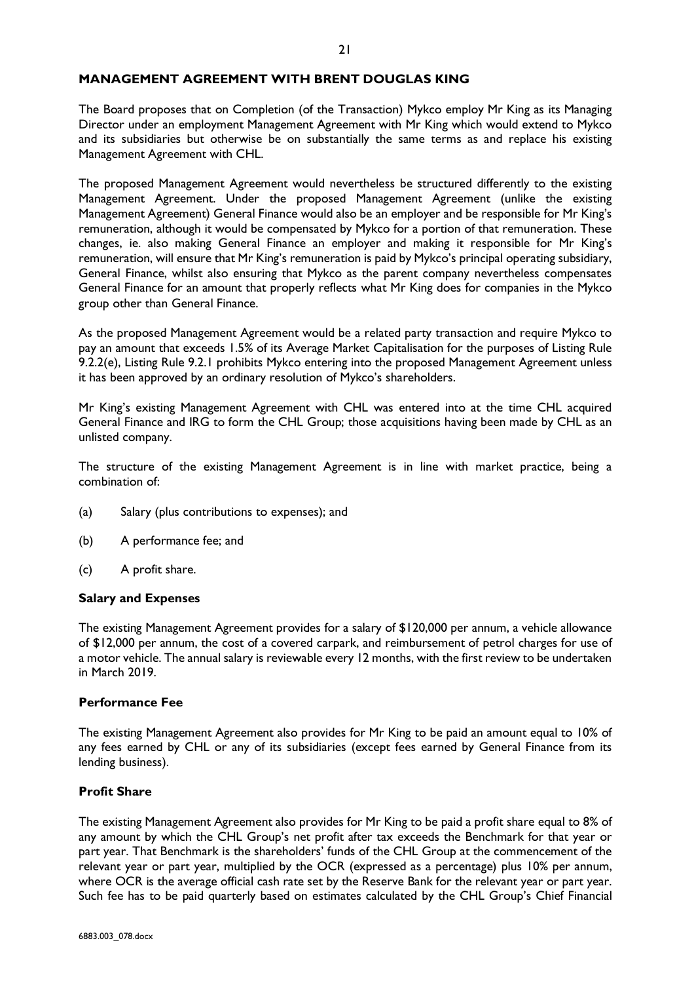### **MANAGEMENT AGREEMENT WITH BRENT DOUGLAS KING**

The Board proposes that on Completion (of the Transaction) Mykco employ Mr King as its Managing Director under an employment Management Agreement with Mr King which would extend to Mykco and its subsidiaries but otherwise be on substantially the same terms as and replace his existing Management Agreement with CHL.

The proposed Management Agreement would nevertheless be structured differently to the existing Management Agreement. Under the proposed Management Agreement (unlike the existing Management Agreement) General Finance would also be an employer and be responsible for Mr King's remuneration, although it would be compensated by Mykco for a portion of that remuneration. These changes, ie. also making General Finance an employer and making it responsible for Mr King's remuneration, will ensure that Mr King's remuneration is paid by Mykco's principal operating subsidiary, General Finance, whilst also ensuring that Mykco as the parent company nevertheless compensates General Finance for an amount that properly reflects what Mr King does for companies in the Mykco group other than General Finance.

As the proposed Management Agreement would be a related party transaction and require Mykco to pay an amount that exceeds 1.5% of its Average Market Capitalisation for the purposes of Listing Rule 9.2.2(e), Listing Rule 9.2.1 prohibits Mykco entering into the proposed Management Agreement unless it has been approved by an ordinary resolution of Mykco's shareholders.

Mr King's existing Management Agreement with CHL was entered into at the time CHL acquired General Finance and IRG to form the CHL Group; those acquisitions having been made by CHL as an unlisted company.

The structure of the existing Management Agreement is in line with market practice, being a combination of:

- (a) Salary (plus contributions to expenses); and
- (b) A performance fee; and
- (c) A profit share.

### **Salary and Expenses**

The existing Management Agreement provides for a salary of \$120,000 per annum, a vehicle allowance of \$12,000 per annum, the cost of a covered carpark, and reimbursement of petrol charges for use of a motor vehicle. The annual salary is reviewable every 12 months, with the first review to be undertaken in March 2019.

### **Performance Fee**

The existing Management Agreement also provides for Mr King to be paid an amount equal to 10% of any fees earned by CHL or any of its subsidiaries (except fees earned by General Finance from its lending business).

## **Profit Share**

The existing Management Agreement also provides for Mr King to be paid a profit share equal to 8% of any amount by which the CHL Group's net profit after tax exceeds the Benchmark for that year or part year. That Benchmark is the shareholders' funds of the CHL Group at the commencement of the relevant year or part year, multiplied by the OCR (expressed as a percentage) plus 10% per annum, where OCR is the average official cash rate set by the Reserve Bank for the relevant year or part year. Such fee has to be paid quarterly based on estimates calculated by the CHL Group's Chief Financial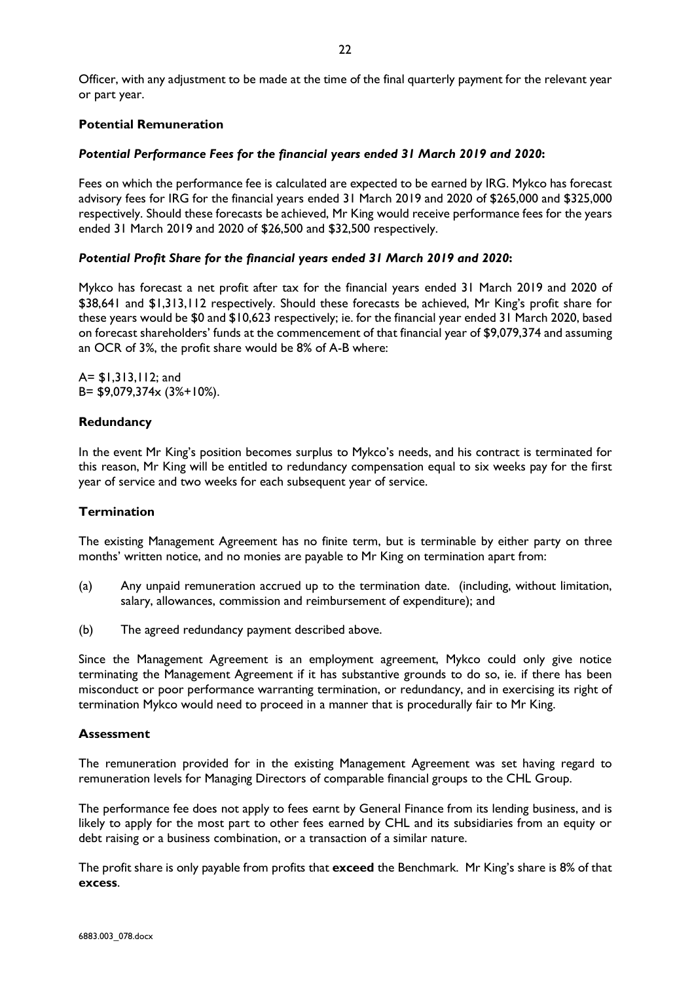Officer, with any adjustment to be made at the time of the final quarterly payment for the relevant year or part year.

## **Potential Remuneration**

### *Potential Performance Fees for the financial years ended 31 March 2019 and 2020***:**

Fees on which the performance fee is calculated are expected to be earned by IRG. Mykco has forecast advisory fees for IRG for the financial years ended 31 March 2019 and 2020 of \$265,000 and \$325,000 respectively. Should these forecasts be achieved, Mr King would receive performance fees for the years ended 31 March 2019 and 2020 of \$26,500 and \$32,500 respectively.

### *Potential Profit Share for the financial years ended 31 March 2019 and 2020***:**

Mykco has forecast a net profit after tax for the financial years ended 31 March 2019 and 2020 of \$38,641 and \$1,313,112 respectively. Should these forecasts be achieved, Mr King's profit share for these years would be \$0 and \$10,623 respectively; ie. for the financial year ended 31 March 2020, based on forecast shareholders' funds at the commencement of that financial year of \$9,079,374 and assuming an OCR of 3%, the profit share would be 8% of A-B where:

A= \$1,313,112; and B= \$9,079,374x (3%+10%).

### **Redundancy**

In the event Mr King's position becomes surplus to Mykco's needs, and his contract is terminated for this reason, Mr King will be entitled to redundancy compensation equal to six weeks pay for the first year of service and two weeks for each subsequent year of service.

### **Termination**

The existing Management Agreement has no finite term, but is terminable by either party on three months' written notice, and no monies are payable to Mr King on termination apart from:

- (a) Any unpaid remuneration accrued up to the termination date. (including, without limitation, salary, allowances, commission and reimbursement of expenditure); and
- (b) The agreed redundancy payment described above.

Since the Management Agreement is an employment agreement, Mykco could only give notice terminating the Management Agreement if it has substantive grounds to do so, ie. if there has been misconduct or poor performance warranting termination, or redundancy, and in exercising its right of termination Mykco would need to proceed in a manner that is procedurally fair to Mr King.

### **Assessment**

The remuneration provided for in the existing Management Agreement was set having regard to remuneration levels for Managing Directors of comparable financial groups to the CHL Group.

The performance fee does not apply to fees earnt by General Finance from its lending business, and is likely to apply for the most part to other fees earned by CHL and its subsidiaries from an equity or debt raising or a business combination, or a transaction of a similar nature.

The profit share is only payable from profits that **exceed** the Benchmark. Mr King's share is 8% of that **excess**.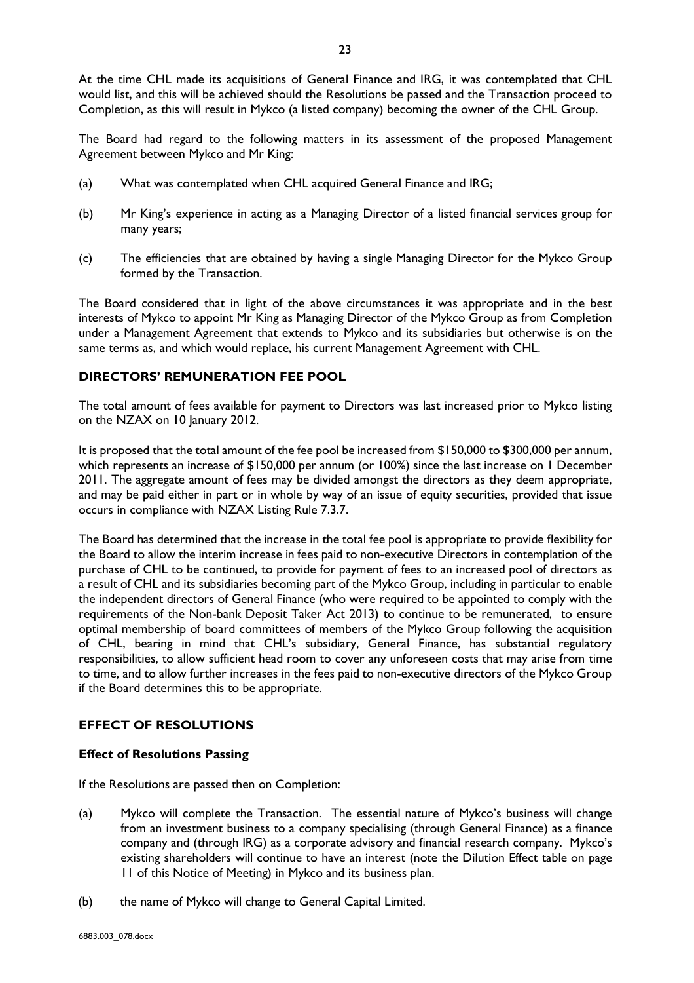At the time CHL made its acquisitions of General Finance and IRG, it was contemplated that CHL would list, and this will be achieved should the Resolutions be passed and the Transaction proceed to Completion, as this will result in Mykco (a listed company) becoming the owner of the CHL Group.

The Board had regard to the following matters in its assessment of the proposed Management Agreement between Mykco and Mr King:

- (a) What was contemplated when CHL acquired General Finance and IRG;
- (b) Mr King's experience in acting as a Managing Director of a listed financial services group for many years;
- (c) The efficiencies that are obtained by having a single Managing Director for the Mykco Group formed by the Transaction.

The Board considered that in light of the above circumstances it was appropriate and in the best interests of Mykco to appoint Mr King as Managing Director of the Mykco Group as from Completion under a Management Agreement that extends to Mykco and its subsidiaries but otherwise is on the same terms as, and which would replace, his current Management Agreement with CHL.

## **DIRECTORS' REMUNERATION FEE POOL**

The total amount of fees available for payment to Directors was last increased prior to Mykco listing on the NZAX on 10 January 2012.

It is proposed that the total amount of the fee pool be increased from \$150,000 to \$300,000 per annum, which represents an increase of \$150,000 per annum (or 100%) since the last increase on 1 December 2011. The aggregate amount of fees may be divided amongst the directors as they deem appropriate, and may be paid either in part or in whole by way of an issue of equity securities, provided that issue occurs in compliance with NZAX Listing Rule 7.3.7.

The Board has determined that the increase in the total fee pool is appropriate to provide flexibility for the Board to allow the interim increase in fees paid to non-executive Directors in contemplation of the purchase of CHL to be continued, to provide for payment of fees to an increased pool of directors as a result of CHL and its subsidiaries becoming part of the Mykco Group, including in particular to enable the independent directors of General Finance (who were required to be appointed to comply with the requirements of the Non-bank Deposit Taker Act 2013) to continue to be remunerated, to ensure optimal membership of board committees of members of the Mykco Group following the acquisition of CHL, bearing in mind that CHL's subsidiary, General Finance, has substantial regulatory responsibilities, to allow sufficient head room to cover any unforeseen costs that may arise from time to time, and to allow further increases in the fees paid to non-executive directors of the Mykco Group if the Board determines this to be appropriate.

## **EFFECT OF RESOLUTIONS**

### **Effect of Resolutions Passing**

If the Resolutions are passed then on Completion:

- (a) Mykco will complete the Transaction. The essential nature of Mykco's business will change from an investment business to a company specialising (through General Finance) as a finance company and (through IRG) as a corporate advisory and financial research company. Mykco's existing shareholders will continue to have an interest (note the Dilution Effect table on page 11 of this Notice of Meeting) in Mykco and its business plan.
- (b) the name of Mykco will change to General Capital Limited.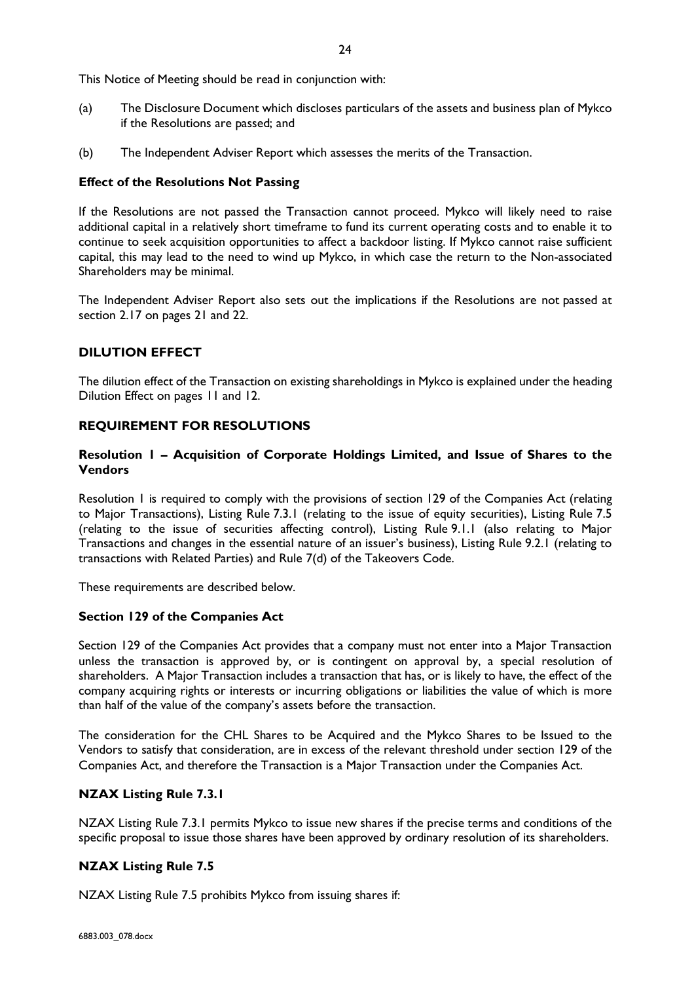This Notice of Meeting should be read in conjunction with:

- (a) The Disclosure Document which discloses particulars of the assets and business plan of Mykco if the Resolutions are passed; and
- (b) The Independent Adviser Report which assesses the merits of the Transaction.

### **Effect of the Resolutions Not Passing**

If the Resolutions are not passed the Transaction cannot proceed. Mykco will likely need to raise additional capital in a relatively short timeframe to fund its current operating costs and to enable it to continue to seek acquisition opportunities to affect a backdoor listing. If Mykco cannot raise sufficient capital, this may lead to the need to wind up Mykco, in which case the return to the Non-associated Shareholders may be minimal.

The Independent Adviser Report also sets out the implications if the Resolutions are not passed at section 2.17 on pages 21 and 22.

# **DILUTION EFFECT**

The dilution effect of the Transaction on existing shareholdings in Mykco is explained under the heading Dilution Effect on pages 11 and 12.

## **REQUIREMENT FOR RESOLUTIONS**

# **Resolution 1 – Acquisition of Corporate Holdings Limited, and Issue of Shares to the Vendors**

Resolution 1 is required to comply with the provisions of section 129 of the Companies Act (relating to Major Transactions), Listing Rule 7.3.1 (relating to the issue of equity securities), Listing Rule 7.5 (relating to the issue of securities affecting control), Listing Rule 9.1.1 (also relating to Major Transactions and changes in the essential nature of an issuer's business), Listing Rule 9.2.1 (relating to transactions with Related Parties) and Rule 7(d) of the Takeovers Code.

These requirements are described below.

## **Section 129 of the Companies Act**

Section 129 of the Companies Act provides that a company must not enter into a Major Transaction unless the transaction is approved by, or is contingent on approval by, a special resolution of shareholders. A Major Transaction includes a transaction that has, or is likely to have, the effect of the company acquiring rights or interests or incurring obligations or liabilities the value of which is more than half of the value of the company's assets before the transaction.

The consideration for the CHL Shares to be Acquired and the Mykco Shares to be Issued to the Vendors to satisfy that consideration, are in excess of the relevant threshold under section 129 of the Companies Act, and therefore the Transaction is a Major Transaction under the Companies Act.

### **NZAX Listing Rule 7.3.1**

NZAX Listing Rule 7.3.1 permits Mykco to issue new shares if the precise terms and conditions of the specific proposal to issue those shares have been approved by ordinary resolution of its shareholders.

## **NZAX Listing Rule 7.5**

NZAX Listing Rule 7.5 prohibits Mykco from issuing shares if: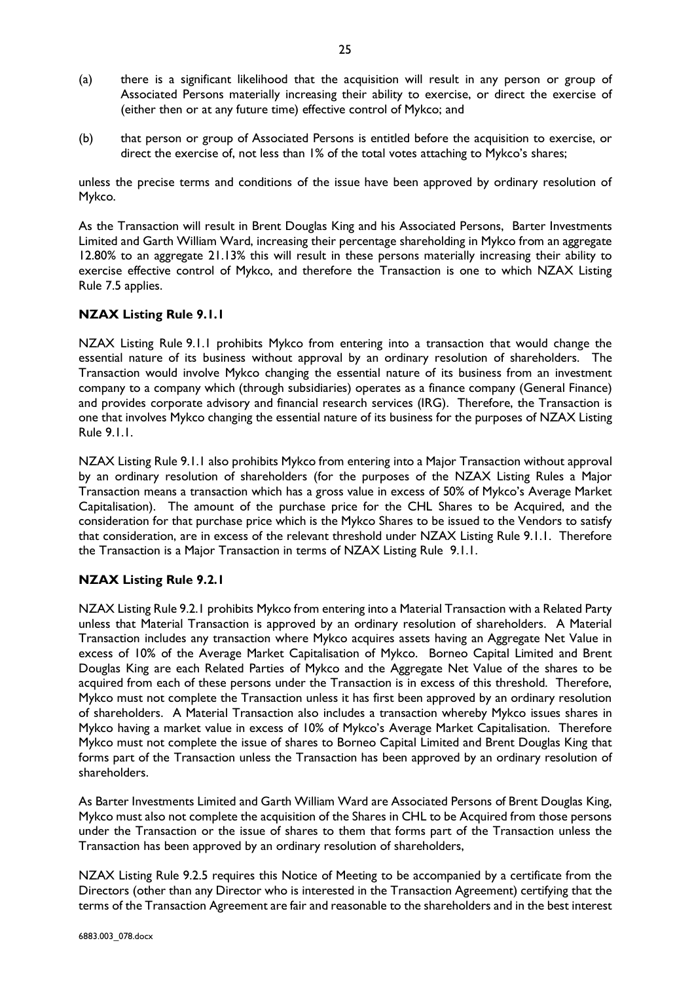- (a) there is a significant likelihood that the acquisition will result in any person or group of Associated Persons materially increasing their ability to exercise, or direct the exercise of (either then or at any future time) effective control of Mykco; and
- (b) that person or group of Associated Persons is entitled before the acquisition to exercise, or direct the exercise of, not less than 1% of the total votes attaching to Mykco's shares;

unless the precise terms and conditions of the issue have been approved by ordinary resolution of Mykco.

As the Transaction will result in Brent Douglas King and his Associated Persons, Barter Investments Limited and Garth William Ward, increasing their percentage shareholding in Mykco from an aggregate 12.80% to an aggregate 21.13% this will result in these persons materially increasing their ability to exercise effective control of Mykco, and therefore the Transaction is one to which NZAX Listing Rule 7.5 applies.

# **NZAX Listing Rule 9.1.1**

NZAX Listing Rule 9.1.1 prohibits Mykco from entering into a transaction that would change the essential nature of its business without approval by an ordinary resolution of shareholders. The Transaction would involve Mykco changing the essential nature of its business from an investment company to a company which (through subsidiaries) operates as a finance company (General Finance) and provides corporate advisory and financial research services (IRG). Therefore, the Transaction is one that involves Mykco changing the essential nature of its business for the purposes of NZAX Listing Rule 9.1.1.

NZAX Listing Rule 9.1.1 also prohibits Mykco from entering into a Major Transaction without approval by an ordinary resolution of shareholders (for the purposes of the NZAX Listing Rules a Major Transaction means a transaction which has a gross value in excess of 50% of Mykco's Average Market Capitalisation). The amount of the purchase price for the CHL Shares to be Acquired, and the consideration for that purchase price which is the Mykco Shares to be issued to the Vendors to satisfy that consideration, are in excess of the relevant threshold under NZAX Listing Rule 9.1.1. Therefore the Transaction is a Major Transaction in terms of NZAX Listing Rule 9.1.1.

# **NZAX Listing Rule 9.2.1**

NZAX Listing Rule 9.2.1 prohibits Mykco from entering into a Material Transaction with a Related Party unless that Material Transaction is approved by an ordinary resolution of shareholders. A Material Transaction includes any transaction where Mykco acquires assets having an Aggregate Net Value in excess of 10% of the Average Market Capitalisation of Mykco. Borneo Capital Limited and Brent Douglas King are each Related Parties of Mykco and the Aggregate Net Value of the shares to be acquired from each of these persons under the Transaction is in excess of this threshold. Therefore, Mykco must not complete the Transaction unless it has first been approved by an ordinary resolution of shareholders. A Material Transaction also includes a transaction whereby Mykco issues shares in Mykco having a market value in excess of 10% of Mykco's Average Market Capitalisation. Therefore Mykco must not complete the issue of shares to Borneo Capital Limited and Brent Douglas King that forms part of the Transaction unless the Transaction has been approved by an ordinary resolution of shareholders.

As Barter Investments Limited and Garth William Ward are Associated Persons of Brent Douglas King, Mykco must also not complete the acquisition of the Shares in CHL to be Acquired from those persons under the Transaction or the issue of shares to them that forms part of the Transaction unless the Transaction has been approved by an ordinary resolution of shareholders,

NZAX Listing Rule 9.2.5 requires this Notice of Meeting to be accompanied by a certificate from the Directors (other than any Director who is interested in the Transaction Agreement) certifying that the terms of the Transaction Agreement are fair and reasonable to the shareholders and in the best interest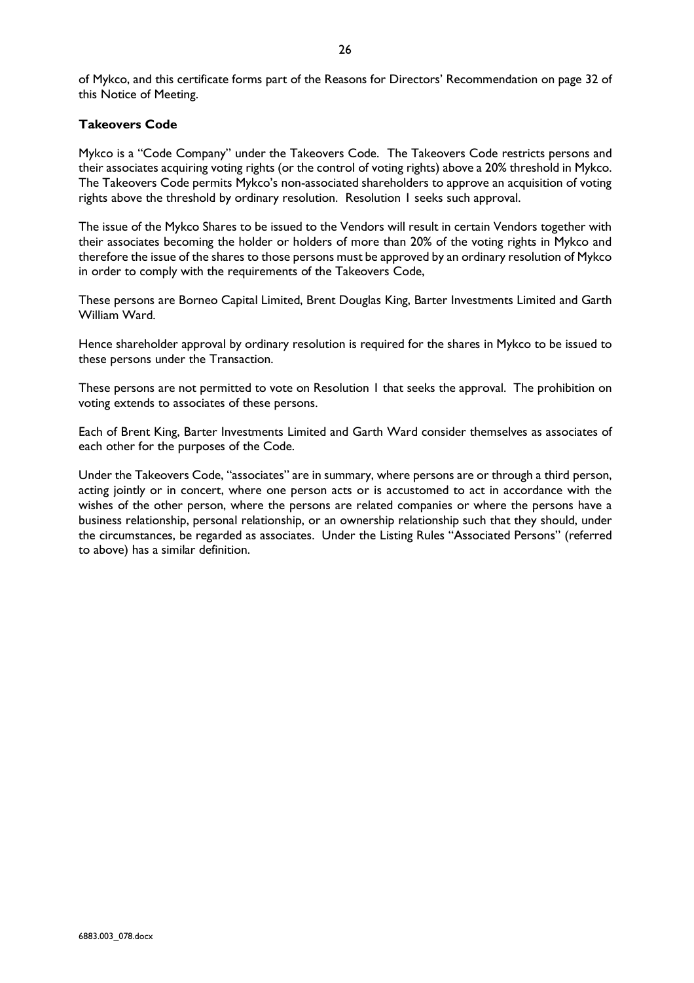of Mykco, and this certificate forms part of the Reasons for Directors' Recommendation on page 32 of this Notice of Meeting.

## **Takeovers Code**

Mykco is a "Code Company" under the Takeovers Code. The Takeovers Code restricts persons and their associates acquiring voting rights (or the control of voting rights) above a 20% threshold in Mykco. The Takeovers Code permits Mykco's non-associated shareholders to approve an acquisition of voting rights above the threshold by ordinary resolution. Resolution 1 seeks such approval.

The issue of the Mykco Shares to be issued to the Vendors will result in certain Vendors together with their associates becoming the holder or holders of more than 20% of the voting rights in Mykco and therefore the issue of the shares to those persons must be approved by an ordinary resolution of Mykco in order to comply with the requirements of the Takeovers Code,

These persons are Borneo Capital Limited, Brent Douglas King, Barter Investments Limited and Garth William Ward.

Hence shareholder approval by ordinary resolution is required for the shares in Mykco to be issued to these persons under the Transaction.

These persons are not permitted to vote on Resolution 1 that seeks the approval. The prohibition on voting extends to associates of these persons.

Each of Brent King, Barter Investments Limited and Garth Ward consider themselves as associates of each other for the purposes of the Code.

Under the Takeovers Code, "associates" are in summary, where persons are or through a third person, acting jointly or in concert, where one person acts or is accustomed to act in accordance with the wishes of the other person, where the persons are related companies or where the persons have a business relationship, personal relationship, or an ownership relationship such that they should, under the circumstances, be regarded as associates. Under the Listing Rules "Associated Persons" (referred to above) has a similar definition.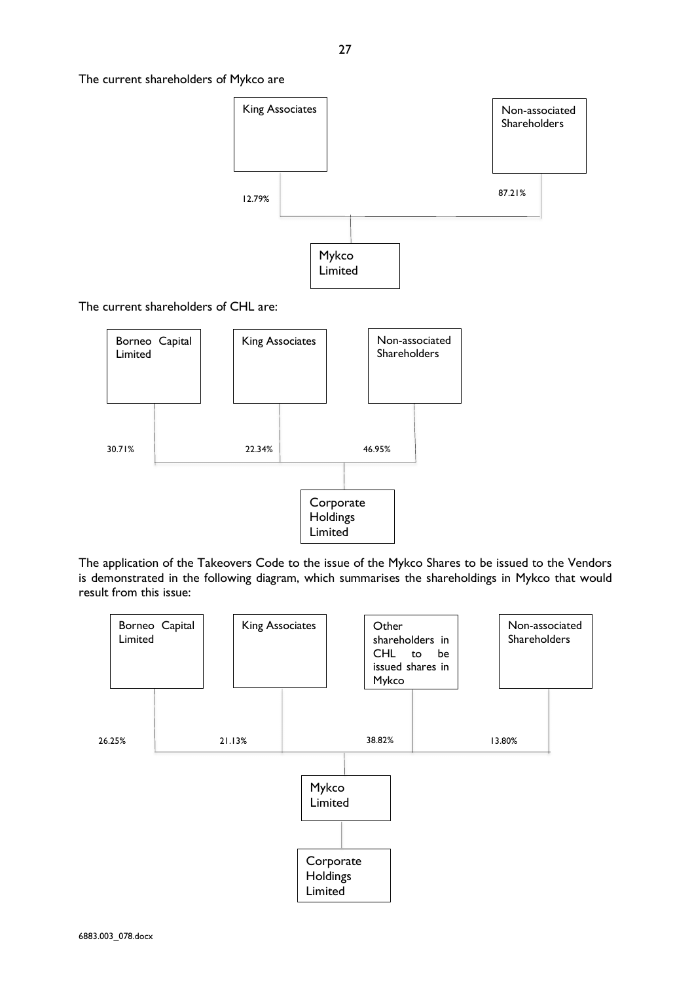The current shareholders of Mykco are



The current shareholders of CHL are:



The application of the Takeovers Code to the issue of the Mykco Shares to be issued to the Vendors is demonstrated in the following diagram, which summarises the shareholdings in Mykco that would result from this issue:

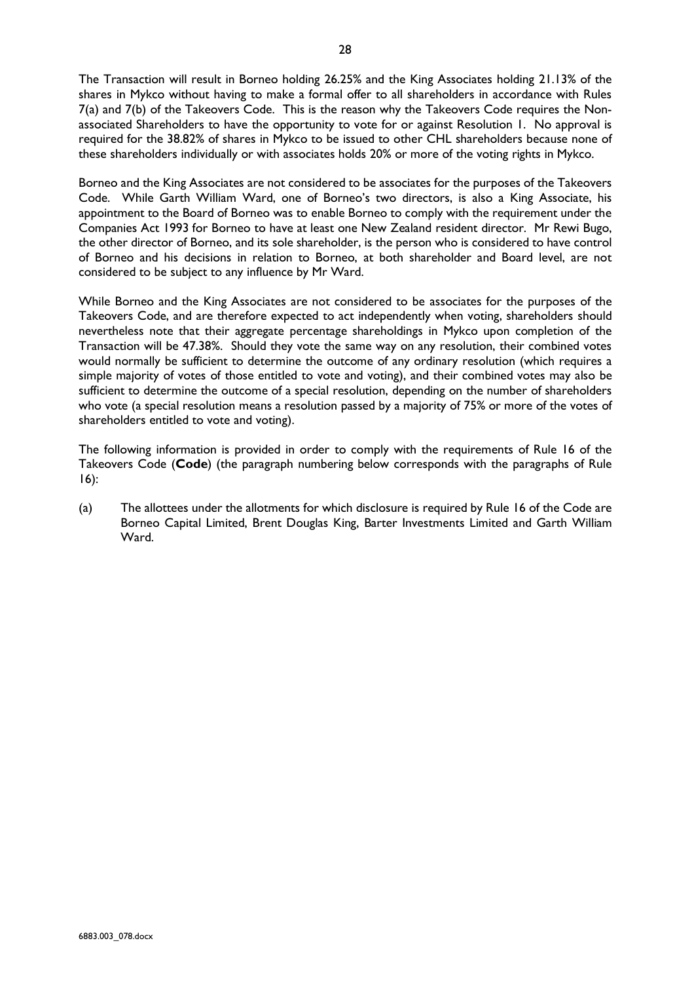The Transaction will result in Borneo holding 26.25% and the King Associates holding 21.13% of the shares in Mykco without having to make a formal offer to all shareholders in accordance with Rules 7(a) and 7(b) of the Takeovers Code. This is the reason why the Takeovers Code requires the Nonassociated Shareholders to have the opportunity to vote for or against Resolution 1. No approval is required for the 38.82% of shares in Mykco to be issued to other CHL shareholders because none of these shareholders individually or with associates holds 20% or more of the voting rights in Mykco.

Borneo and the King Associates are not considered to be associates for the purposes of the Takeovers Code. While Garth William Ward, one of Borneo's two directors, is also a King Associate, his appointment to the Board of Borneo was to enable Borneo to comply with the requirement under the Companies Act 1993 for Borneo to have at least one New Zealand resident director. Mr Rewi Bugo, the other director of Borneo, and its sole shareholder, is the person who is considered to have control of Borneo and his decisions in relation to Borneo, at both shareholder and Board level, are not considered to be subject to any influence by Mr Ward.

While Borneo and the King Associates are not considered to be associates for the purposes of the Takeovers Code, and are therefore expected to act independently when voting, shareholders should nevertheless note that their aggregate percentage shareholdings in Mykco upon completion of the Transaction will be 47.38%. Should they vote the same way on any resolution, their combined votes would normally be sufficient to determine the outcome of any ordinary resolution (which requires a simple majority of votes of those entitled to vote and voting), and their combined votes may also be sufficient to determine the outcome of a special resolution, depending on the number of shareholders who vote (a special resolution means a resolution passed by a majority of 75% or more of the votes of shareholders entitled to vote and voting).

The following information is provided in order to comply with the requirements of Rule 16 of the Takeovers Code (**Code**) (the paragraph numbering below corresponds with the paragraphs of Rule 16):

(a) The allottees under the allotments for which disclosure is required by Rule 16 of the Code are Borneo Capital Limited, Brent Douglas King, Barter Investments Limited and Garth William Ward.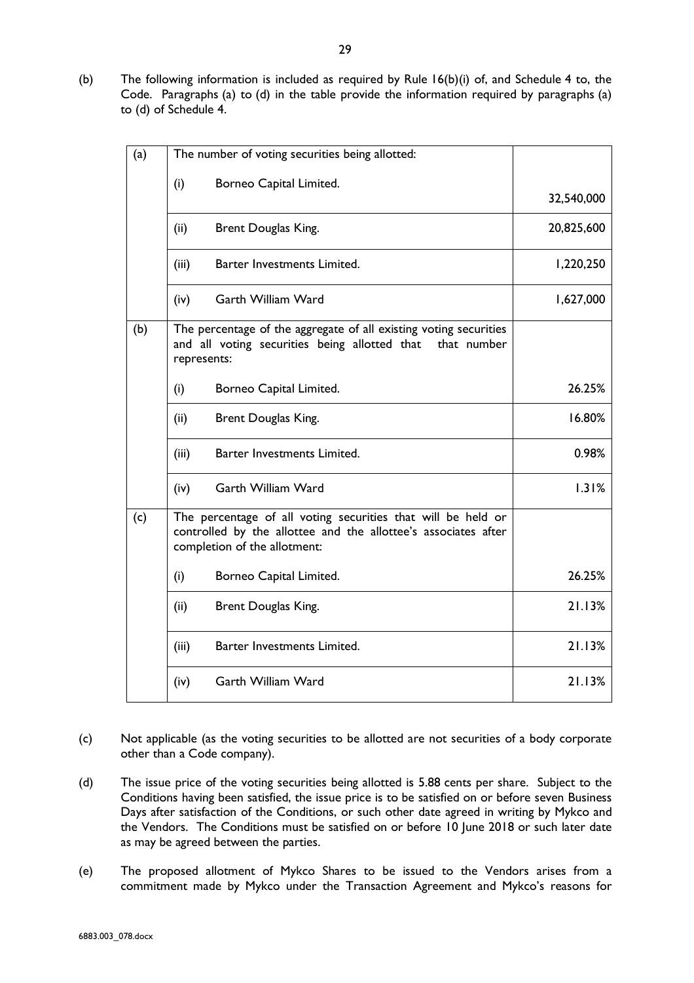(b) The following information is included as required by Rule 16(b)(i) of, and Schedule 4 to, the Code. Paragraphs (a) to (d) in the table provide the information required by paragraphs (a) to (d) of Schedule 4.

| (a) | The number of voting securities being allotted:                                                                                                  |                                                                                                                                                                |            |  |  |  |  |
|-----|--------------------------------------------------------------------------------------------------------------------------------------------------|----------------------------------------------------------------------------------------------------------------------------------------------------------------|------------|--|--|--|--|
|     | (i)                                                                                                                                              | Borneo Capital Limited.                                                                                                                                        | 32,540,000 |  |  |  |  |
|     | (ii)                                                                                                                                             | Brent Douglas King.                                                                                                                                            | 20,825,600 |  |  |  |  |
|     | (iii)                                                                                                                                            | Barter Investments Limited.                                                                                                                                    | 1,220,250  |  |  |  |  |
|     | (iv)                                                                                                                                             | <b>Garth William Ward</b>                                                                                                                                      | 1,627,000  |  |  |  |  |
| (b) | The percentage of the aggregate of all existing voting securities<br>and all voting securities being allotted that<br>that number<br>represents: |                                                                                                                                                                |            |  |  |  |  |
|     | (i)                                                                                                                                              | Borneo Capital Limited.                                                                                                                                        | 26.25%     |  |  |  |  |
|     | (ii)                                                                                                                                             | Brent Douglas King.                                                                                                                                            | 16.80%     |  |  |  |  |
|     | (iii)                                                                                                                                            | Barter Investments Limited.                                                                                                                                    | 0.98%      |  |  |  |  |
|     | (iv)                                                                                                                                             | Garth William Ward                                                                                                                                             | 1.31%      |  |  |  |  |
| (c) |                                                                                                                                                  | The percentage of all voting securities that will be held or<br>controlled by the allottee and the allottee's associates after<br>completion of the allotment: |            |  |  |  |  |
|     | (i)                                                                                                                                              | Borneo Capital Limited.                                                                                                                                        | 26.25%     |  |  |  |  |
|     | (ii)                                                                                                                                             | Brent Douglas King.                                                                                                                                            | 21.13%     |  |  |  |  |
|     | (iii)                                                                                                                                            | Barter Investments Limited.                                                                                                                                    | 21.13%     |  |  |  |  |
|     | (iv)                                                                                                                                             | <b>Garth William Ward</b>                                                                                                                                      | 21.13%     |  |  |  |  |

- (c) Not applicable (as the voting securities to be allotted are not securities of a body corporate other than a Code company).
- (d) The issue price of the voting securities being allotted is 5.88 cents per share. Subject to the Conditions having been satisfied, the issue price is to be satisfied on or before seven Business Days after satisfaction of the Conditions, or such other date agreed in writing by Mykco and the Vendors. The Conditions must be satisfied on or before 10 June 2018 or such later date as may be agreed between the parties.
- (e) The proposed allotment of Mykco Shares to be issued to the Vendors arises from a commitment made by Mykco under the Transaction Agreement and Mykco's reasons for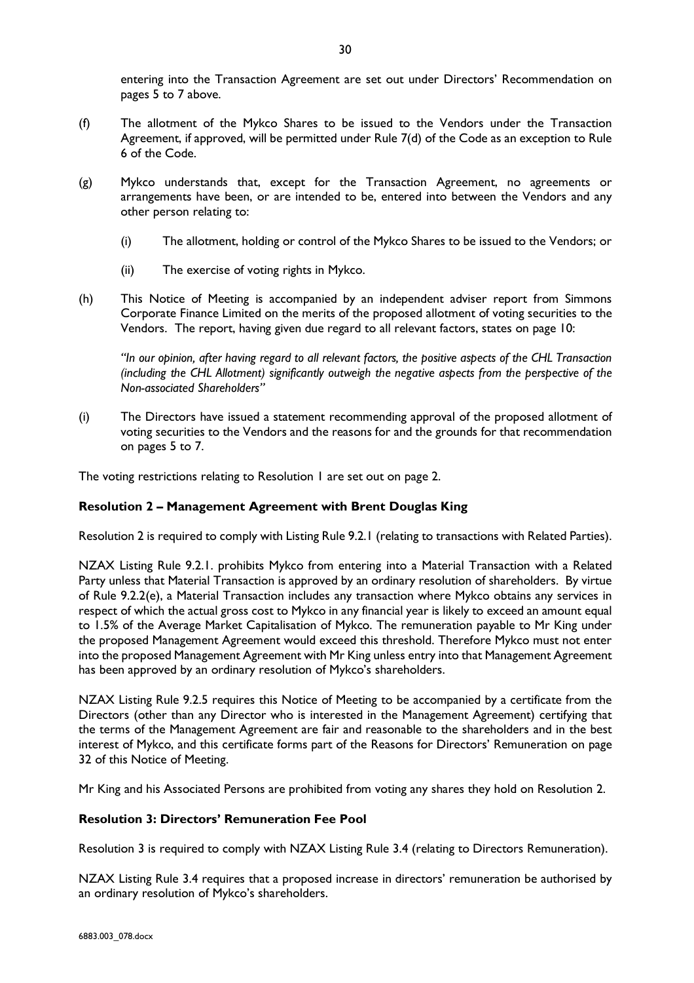entering into the Transaction Agreement are set out under Directors' Recommendation on pages 5 to 7 above.

- (f) The allotment of the Mykco Shares to be issued to the Vendors under the Transaction Agreement, if approved, will be permitted under Rule 7(d) of the Code as an exception to Rule 6 of the Code.
- (g) Mykco understands that, except for the Transaction Agreement, no agreements or arrangements have been, or are intended to be, entered into between the Vendors and any other person relating to:
	- (i) The allotment, holding or control of the Mykco Shares to be issued to the Vendors; or
	- (ii) The exercise of voting rights in Mykco.
- (h) This Notice of Meeting is accompanied by an independent adviser report from Simmons Corporate Finance Limited on the merits of the proposed allotment of voting securities to the Vendors. The report, having given due regard to all relevant factors, states on page 10:

*"In our opinion, after having regard to all relevant factors, the positive aspects of the CHL Transaction (including the CHL Allotment) significantly outweigh the negative aspects from the perspective of the Non-associated Shareholders"*

(i) The Directors have issued a statement recommending approval of the proposed allotment of voting securities to the Vendors and the reasons for and the grounds for that recommendation on pages 5 to 7.

The voting restrictions relating to Resolution 1 are set out on page 2.

## **Resolution 2 – Management Agreement with Brent Douglas King**

Resolution 2 is required to comply with Listing Rule 9.2.1 (relating to transactions with Related Parties).

NZAX Listing Rule 9.2.1. prohibits Mykco from entering into a Material Transaction with a Related Party unless that Material Transaction is approved by an ordinary resolution of shareholders. By virtue of Rule 9.2.2(e), a Material Transaction includes any transaction where Mykco obtains any services in respect of which the actual gross cost to Mykco in any financial year is likely to exceed an amount equal to 1.5% of the Average Market Capitalisation of Mykco. The remuneration payable to Mr King under the proposed Management Agreement would exceed this threshold. Therefore Mykco must not enter into the proposed Management Agreement with Mr King unless entry into that Management Agreement has been approved by an ordinary resolution of Mykco's shareholders.

NZAX Listing Rule 9.2.5 requires this Notice of Meeting to be accompanied by a certificate from the Directors (other than any Director who is interested in the Management Agreement) certifying that the terms of the Management Agreement are fair and reasonable to the shareholders and in the best interest of Mykco, and this certificate forms part of the Reasons for Directors' Remuneration on page 32 of this Notice of Meeting.

Mr King and his Associated Persons are prohibited from voting any shares they hold on Resolution 2.

## **Resolution 3: Directors' Remuneration Fee Pool**

Resolution 3 is required to comply with NZAX Listing Rule 3.4 (relating to Directors Remuneration).

NZAX Listing Rule 3.4 requires that a proposed increase in directors' remuneration be authorised by an ordinary resolution of Mykco's shareholders.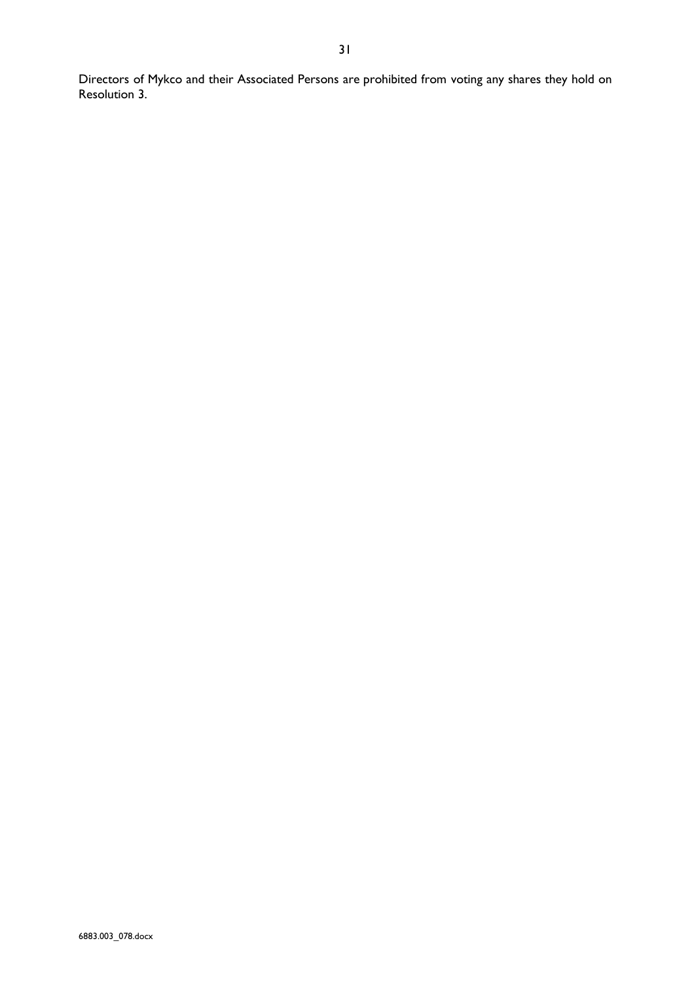Directors of Mykco and their Associated Persons are prohibited from voting any shares they hold on Resolution 3.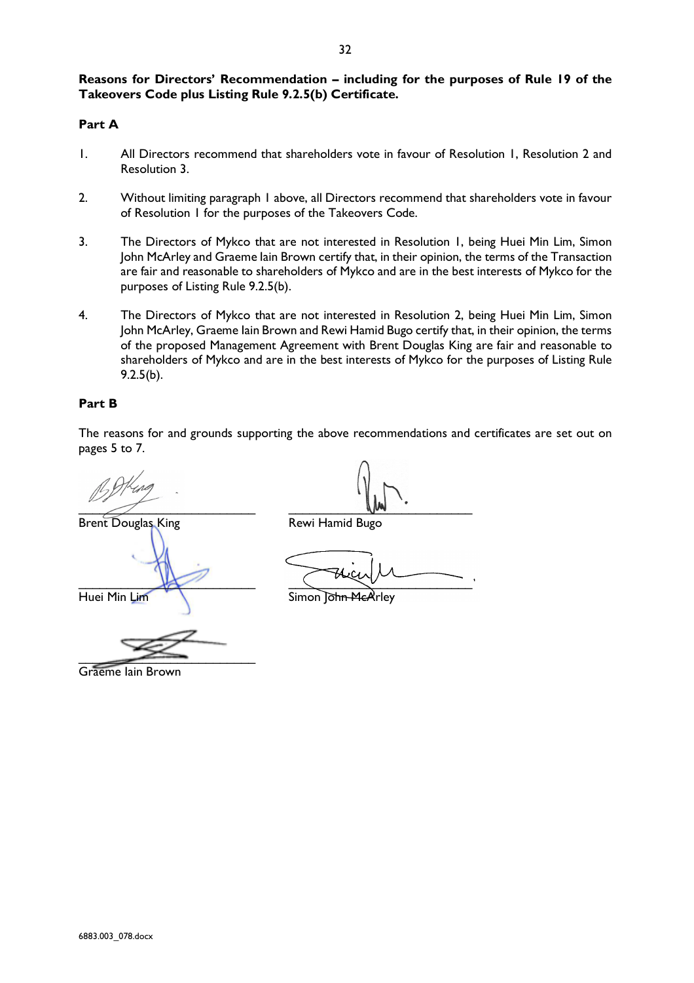# **Reasons for Directors' Recommendation – including for the purposes of Rule 19 of the Takeovers Code plus Listing Rule 9.2.5(b) Certificate.**

# **Part A**

- 1. All Directors recommend that shareholders vote in favour of Resolution 1, Resolution 2 and Resolution 3.
- 2. Without limiting paragraph 1 above, all Directors recommend that shareholders vote in favour of Resolution 1 for the purposes of the Takeovers Code.
- 3. The Directors of Mykco that are not interested in Resolution 1, being Huei Min Lim, Simon John McArley and Graeme Iain Brown certify that, in their opinion, the terms of the Transaction are fair and reasonable to shareholders of Mykco and are in the best interests of Mykco for the purposes of Listing Rule 9.2.5(b).
- 4. The Directors of Mykco that are not interested in Resolution 2, being Huei Min Lim, Simon John McArley, Graeme Iain Brown and Rewi Hamid Bugo certify that, in their opinion, the terms of the proposed Management Agreement with Brent Douglas King are fair and reasonable to shareholders of Mykco and are in the best interests of Mykco for the purposes of Listing Rule 9.2.5(b).

# **Part B**

The reasons for and grounds supporting the above recommendations and certificates are set out on pages 5 to 7.

Brent Douglas King **Rewi Hamid Bugo** 

\_\_\_\_\_\_\_\_\_\_\_\_\_\_\_\_\_\_\_\_\_\_\_\_\_ \_\_\_\_\_\_\_\_\_\_\_\_\_\_\_\_\_\_\_\_\_\_\_\_\_\_

 $\frac{1}{2}$ 

Huei Min Lim Simon John McArley

 $\overline{\phantom{a}}$ 

Graeme Iain Brown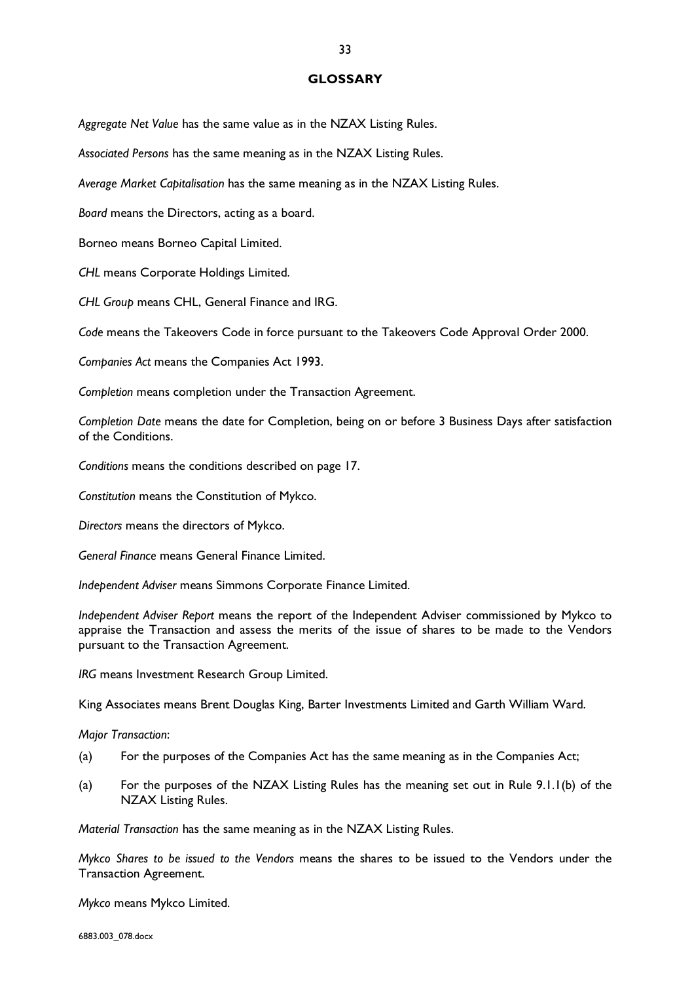### **GLOSSARY**

*Aggregate Net Value* has the same value as in the NZAX Listing Rules.

*Associated Persons* has the same meaning as in the NZAX Listing Rules.

*Average Market Capitalisation* has the same meaning as in the NZAX Listing Rules.

*Board* means the Directors, acting as a board.

Borneo means Borneo Capital Limited.

*CHL* means Corporate Holdings Limited.

*CHL Group* means CHL, General Finance and IRG.

*Code* means the Takeovers Code in force pursuant to the Takeovers Code Approval Order 2000.

*Companies Act* means the Companies Act 1993.

*Completion* means completion under the Transaction Agreement.

*Completion Date* means the date for Completion, being on or before 3 Business Days after satisfaction of the Conditions.

*Conditions* means the conditions described on page 17.

*Constitution* means the Constitution of Mykco.

*Directors* means the directors of Mykco.

*General Finance* means General Finance Limited.

*Independent Adviser* means Simmons Corporate Finance Limited.

*Independent Adviser Report* means the report of the Independent Adviser commissioned by Mykco to appraise the Transaction and assess the merits of the issue of shares to be made to the Vendors pursuant to the Transaction Agreement.

*IRG* means Investment Research Group Limited.

King Associates means Brent Douglas King, Barter Investments Limited and Garth William Ward.

*Major Transaction*:

- (a) For the purposes of the Companies Act has the same meaning as in the Companies Act;
- (a) For the purposes of the NZAX Listing Rules has the meaning set out in Rule 9.1.1(b) of the NZAX Listing Rules.

*Material Transaction* has the same meaning as in the NZAX Listing Rules.

*Mykco Shares to be issued to the Vendors* means the shares to be issued to the Vendors under the Transaction Agreement.

*Mykco* means Mykco Limited.